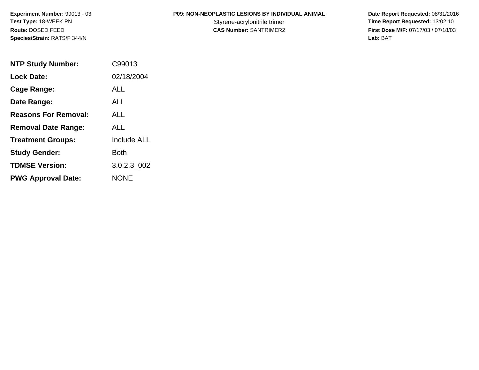# **P09: NON-NEOPLASTIC LESIONS BY INDIVIDUAL ANIMAL**

| <b>NTP Study Number:</b>    | C99013             |
|-----------------------------|--------------------|
| <b>Lock Date:</b>           | 02/18/2004         |
| Cage Range:                 | ALL                |
| Date Range:                 | ALL                |
| <b>Reasons For Removal:</b> | ALL                |
| <b>Removal Date Range:</b>  | ALL                |
| <b>Treatment Groups:</b>    | <b>Include ALL</b> |
| <b>Study Gender:</b>        | Both               |
| <b>TDMSE Version:</b>       | 3.0.2.3 002        |
| <b>PWG Approval Date:</b>   | <b>NONE</b>        |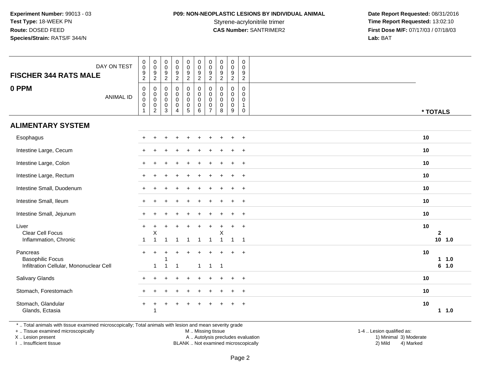## **P09: NON-NEOPLASTIC LESIONS BY INDIVIDUAL ANIMAL**

 **Date Report Requested:** 08/31/2016 Styrene-acrylonitrile trimer<br>
CAS Number: SANTRIMER2<br> **CAS Number:** SANTRIMER2<br> **Time Report Requested:** 13:02:10 **First Dose M/F:** 07/17/03 / 07/18/03<br>Lab: BAT **Lab:** BAT

| DAY ON TEST<br><b>FISCHER 344 RATS MALE</b><br>0 PPM<br><b>ANIMAL ID</b> | $\pmb{0}$<br>$\overline{0}$<br>$\frac{9}{2}$<br>$\mathbf 0$<br>0<br>$\mathbf 0$<br>$\mathbf 0$<br>$\mathbf{1}$ | $_{\rm 0}^{\rm 0}$<br>$\frac{9}{2}$<br>0<br>$\boldsymbol{0}$<br>$\mathsf 0$<br>$\pmb{0}$<br>$\overline{2}$ | $\pmb{0}$<br>$\ddot{\mathbf{0}}$<br>$\frac{9}{2}$<br>$\mathbf 0$<br>0<br>$\mathbf 0$<br>$\mathbf 0$<br>$\mathbf{3}$ | $\begin{smallmatrix} 0\\0 \end{smallmatrix}$<br>$\frac{9}{2}$<br>$\mathsf{O}\xspace$<br>$\mathbf 0$<br>$\mathsf{O}\xspace$<br>$\pmb{0}$<br>$\overline{4}$ | $\begin{smallmatrix} 0\\0 \end{smallmatrix}$<br>$\frac{9}{2}$<br>0<br>$\mathbf 0$<br>$\pmb{0}$<br>$\pmb{0}$<br>$\overline{5}$ | $\begin{smallmatrix}0\\0\end{smallmatrix}$<br>$\frac{9}{2}$<br>$\mathbf 0$<br>$\boldsymbol{0}$<br>$\mathbf 0$<br>$\mathbf 0$<br>$6\phantom{1}6$ | $\mathbf 0$<br>$\mathbf 0$<br>9<br>$\overline{2}$<br>0<br>0<br>$\mathbf 0$<br>0<br>7 | $\pmb{0}$<br>$\ddot{\mathbf{0}}$<br>$\frac{9}{2}$<br>0<br>$\mathbf 0$<br>$\mathbf 0$<br>$\mathbf 0$<br>8 | $_{\rm 0}^{\rm 0}$<br>$\boldsymbol{9}$<br>$\overline{2}$<br>0<br>0<br>$\mathsf{O}\xspace$<br>$\mathsf{O}\xspace$<br>9 | $\mathbf 0$<br>$\mathbf 0$<br>$\boldsymbol{9}$<br>$\overline{2}$<br>0<br>$\mathbf 0$<br>$\mathbf 0$<br>$\mathbf{1}$<br>$\mathbf 0$ |                    |          |
|--------------------------------------------------------------------------|----------------------------------------------------------------------------------------------------------------|------------------------------------------------------------------------------------------------------------|---------------------------------------------------------------------------------------------------------------------|-----------------------------------------------------------------------------------------------------------------------------------------------------------|-------------------------------------------------------------------------------------------------------------------------------|-------------------------------------------------------------------------------------------------------------------------------------------------|--------------------------------------------------------------------------------------|----------------------------------------------------------------------------------------------------------|-----------------------------------------------------------------------------------------------------------------------|------------------------------------------------------------------------------------------------------------------------------------|--------------------|----------|
| <b>ALIMENTARY SYSTEM</b>                                                 |                                                                                                                |                                                                                                            |                                                                                                                     |                                                                                                                                                           |                                                                                                                               |                                                                                                                                                 |                                                                                      |                                                                                                          |                                                                                                                       |                                                                                                                                    | * TOTALS           |          |
|                                                                          |                                                                                                                |                                                                                                            |                                                                                                                     |                                                                                                                                                           |                                                                                                                               |                                                                                                                                                 |                                                                                      |                                                                                                          |                                                                                                                       |                                                                                                                                    |                    |          |
| Esophagus                                                                |                                                                                                                |                                                                                                            |                                                                                                                     |                                                                                                                                                           |                                                                                                                               |                                                                                                                                                 |                                                                                      |                                                                                                          |                                                                                                                       | $\ddot{}$                                                                                                                          | 10                 |          |
| Intestine Large, Cecum                                                   |                                                                                                                |                                                                                                            |                                                                                                                     |                                                                                                                                                           |                                                                                                                               |                                                                                                                                                 |                                                                                      |                                                                                                          |                                                                                                                       | $\ddot{}$                                                                                                                          | 10                 |          |
| Intestine Large, Colon                                                   |                                                                                                                |                                                                                                            |                                                                                                                     |                                                                                                                                                           |                                                                                                                               |                                                                                                                                                 |                                                                                      |                                                                                                          |                                                                                                                       | $\ddot{}$                                                                                                                          | 10                 |          |
| Intestine Large, Rectum                                                  |                                                                                                                |                                                                                                            |                                                                                                                     |                                                                                                                                                           |                                                                                                                               |                                                                                                                                                 |                                                                                      |                                                                                                          |                                                                                                                       | $\ddot{}$                                                                                                                          | 10                 |          |
| Intestine Small, Duodenum                                                |                                                                                                                |                                                                                                            |                                                                                                                     |                                                                                                                                                           |                                                                                                                               |                                                                                                                                                 |                                                                                      |                                                                                                          |                                                                                                                       | $\ddot{}$                                                                                                                          | 10                 |          |
| Intestine Small, Ileum                                                   |                                                                                                                |                                                                                                            |                                                                                                                     |                                                                                                                                                           |                                                                                                                               |                                                                                                                                                 |                                                                                      |                                                                                                          |                                                                                                                       | $\overline{+}$                                                                                                                     | 10                 |          |
| Intestine Small, Jejunum                                                 |                                                                                                                |                                                                                                            |                                                                                                                     |                                                                                                                                                           |                                                                                                                               |                                                                                                                                                 |                                                                                      |                                                                                                          |                                                                                                                       | $\overline{1}$                                                                                                                     | 10                 |          |
| Liver<br><b>Clear Cell Focus</b>                                         | $+$                                                                                                            | X                                                                                                          |                                                                                                                     |                                                                                                                                                           |                                                                                                                               |                                                                                                                                                 |                                                                                      | X                                                                                                        | $\div$                                                                                                                | $\ddot{}$                                                                                                                          | 10<br>$\mathbf{2}$ |          |
| Inflammation, Chronic                                                    |                                                                                                                | -1                                                                                                         |                                                                                                                     |                                                                                                                                                           | $\overline{1}$                                                                                                                | $\mathbf{1}$                                                                                                                                    | $\mathbf{1}$                                                                         | $\overline{1}$                                                                                           | $\overline{1}$                                                                                                        | $\overline{1}$                                                                                                                     |                    | $10$ 1.0 |
| Pancreas<br><b>Basophilic Focus</b>                                      |                                                                                                                |                                                                                                            |                                                                                                                     |                                                                                                                                                           |                                                                                                                               |                                                                                                                                                 |                                                                                      |                                                                                                          |                                                                                                                       | $\ddot{}$                                                                                                                          | 10                 | 11.0     |
| Infiltration Cellular, Mononuclear Cell                                  |                                                                                                                | $\mathbf{1}$                                                                                               | $\mathbf{1}$                                                                                                        | $\overline{1}$                                                                                                                                            |                                                                                                                               | $\mathbf{1}$                                                                                                                                    | $\mathbf{1}$                                                                         | $\overline{1}$                                                                                           |                                                                                                                       |                                                                                                                                    |                    | 6 1.0    |
| Salivary Glands                                                          |                                                                                                                |                                                                                                            |                                                                                                                     |                                                                                                                                                           |                                                                                                                               |                                                                                                                                                 |                                                                                      |                                                                                                          | $\ddot{}$                                                                                                             | $+$                                                                                                                                | 10                 |          |
| Stomach, Forestomach                                                     |                                                                                                                |                                                                                                            |                                                                                                                     |                                                                                                                                                           |                                                                                                                               |                                                                                                                                                 |                                                                                      |                                                                                                          |                                                                                                                       | $\ddot{}$                                                                                                                          | 10                 |          |
| Stomach, Glandular<br>Glands, Ectasia                                    | $\pm$                                                                                                          | $\ddot{}$<br>-1                                                                                            |                                                                                                                     |                                                                                                                                                           | ÷                                                                                                                             |                                                                                                                                                 |                                                                                      |                                                                                                          |                                                                                                                       | $\ddot{}$                                                                                                                          | 10                 | 11.0     |

\* .. Total animals with tissue examined microscopically; Total animals with lesion and mean severity grade

+ .. Tissue examined microscopically

X .. Lesion present

I .. Insufficient tissue

M .. Missing tissue

Lesion present A .. Autolysis precludes evaluation 1) Minimal 3) Moderate

BLANK .. Not examined microscopically 2) Mild 4) Marked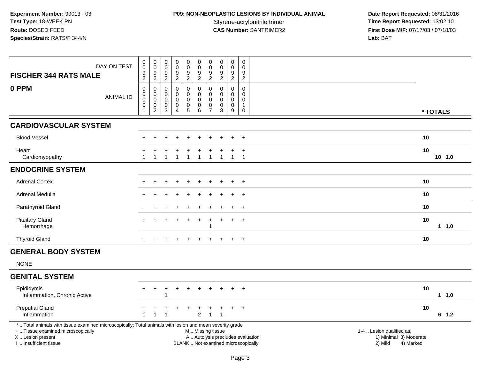# **P09: NON-NEOPLASTIC LESIONS BY INDIVIDUAL ANIMAL**

| DAY ON TEST<br><b>FISCHER 344 RATS MALE</b>                                                                                                                                                   | 0<br>$\pmb{0}$<br>$\frac{9}{2}$                                        | $\pmb{0}$<br>$\pmb{0}$<br>9<br>$\overline{2}$ | $\,0\,$<br>$\mathsf{O}\xspace$<br>$\frac{9}{2}$ | $\pmb{0}$<br>$\ddot{\mathbf{0}}$<br>$\frac{9}{2}$      | $\pmb{0}$<br>$\pmb{0}$<br>$\frac{9}{2}$                           | $\pmb{0}$<br>$\mathbf 0$<br>$\frac{9}{2}$                                                     | $\pmb{0}$<br>$\pmb{0}$<br>9<br>$\boldsymbol{2}$                            | $\pmb{0}$<br>$\ddot{\mathbf{0}}$<br>$\frac{9}{2}$ | $\pmb{0}$<br>$\ddot{\mathbf{0}}$<br>9<br>$\overline{2}$                | $\,0\,$<br>$\Omega$<br>9<br>$\overline{2}$         |                                                                             |                  |
|-----------------------------------------------------------------------------------------------------------------------------------------------------------------------------------------------|------------------------------------------------------------------------|-----------------------------------------------|-------------------------------------------------|--------------------------------------------------------|-------------------------------------------------------------------|-----------------------------------------------------------------------------------------------|----------------------------------------------------------------------------|---------------------------------------------------|------------------------------------------------------------------------|----------------------------------------------------|-----------------------------------------------------------------------------|------------------|
| 0 PPM<br><b>ANIMAL ID</b>                                                                                                                                                                     | $\mathbf 0$<br>$\mathbf 0$<br>$\pmb{0}$<br>$\mathbf 0$<br>$\mathbf{1}$ | 0<br>0<br>0<br>$\mathbf 0$<br>$\overline{c}$  | $\mathbf 0$<br>0<br>0<br>$\mathbf 0$<br>3       | $\mathsf 0$<br>0<br>$\boldsymbol{0}$<br>$\pmb{0}$<br>4 | $\boldsymbol{0}$<br>$\mathsf{O}$<br>$\mathbf 0$<br>$\pmb{0}$<br>5 | 0<br>$\pmb{0}$<br>$\mathbf 0$<br>$\mathbf 0$<br>6                                             | $\mathbf 0$<br>$\mathbf 0$<br>$\mathbf 0$<br>$\mathbf 0$<br>$\overline{7}$ | $\mathbf 0$<br>$\mathbf 0$<br>0<br>$\pmb{0}$<br>8 | $\mathbf 0$<br>$\mathsf{O}$<br>$\mathsf{O}\xspace$<br>$\mathbf 0$<br>9 | $\mathbf 0$<br>0<br>0<br>$\mathbf{1}$<br>$\pmb{0}$ |                                                                             | * TOTALS         |
| <b>CARDIOVASCULAR SYSTEM</b>                                                                                                                                                                  |                                                                        |                                               |                                                 |                                                        |                                                                   |                                                                                               |                                                                            |                                                   |                                                                        |                                                    |                                                                             |                  |
| <b>Blood Vessel</b>                                                                                                                                                                           |                                                                        |                                               |                                                 |                                                        |                                                                   |                                                                                               |                                                                            |                                                   | $\ddot{}$                                                              | $+$                                                |                                                                             | 10               |
| Heart<br>Cardiomyopathy                                                                                                                                                                       | 1                                                                      |                                               |                                                 | $\mathbf 1$                                            | $\mathbf{1}$                                                      | $\overline{1}$                                                                                | 1                                                                          |                                                   | $\mathbf{1}$                                                           | $\ddot{}$<br>$\overline{1}$                        |                                                                             | 10<br>$10$ $1.0$ |
| <b>ENDOCRINE SYSTEM</b>                                                                                                                                                                       |                                                                        |                                               |                                                 |                                                        |                                                                   |                                                                                               |                                                                            |                                                   |                                                                        |                                                    |                                                                             |                  |
| <b>Adrenal Cortex</b>                                                                                                                                                                         |                                                                        |                                               |                                                 |                                                        |                                                                   |                                                                                               |                                                                            |                                                   |                                                                        | $\ddot{}$                                          |                                                                             | 10               |
| Adrenal Medulla                                                                                                                                                                               |                                                                        |                                               |                                                 |                                                        |                                                                   |                                                                                               |                                                                            |                                                   |                                                                        | $\ddot{}$                                          |                                                                             | 10               |
| Parathyroid Gland                                                                                                                                                                             |                                                                        |                                               |                                                 |                                                        |                                                                   |                                                                                               |                                                                            |                                                   | $\ddot{}$                                                              | $+$                                                |                                                                             | 10               |
| <b>Pituitary Gland</b><br>Hemorrhage                                                                                                                                                          |                                                                        |                                               |                                                 |                                                        | $\div$                                                            | $\ddot{}$                                                                                     | $\ddot{}$<br>1                                                             |                                                   | $\ddot{}$                                                              | $+$                                                |                                                                             | 10<br>$1 1.0$    |
| <b>Thyroid Gland</b>                                                                                                                                                                          |                                                                        |                                               |                                                 |                                                        |                                                                   |                                                                                               |                                                                            |                                                   | $+$                                                                    | $+$                                                |                                                                             | 10               |
| <b>GENERAL BODY SYSTEM</b>                                                                                                                                                                    |                                                                        |                                               |                                                 |                                                        |                                                                   |                                                                                               |                                                                            |                                                   |                                                                        |                                                    |                                                                             |                  |
| <b>NONE</b>                                                                                                                                                                                   |                                                                        |                                               |                                                 |                                                        |                                                                   |                                                                                               |                                                                            |                                                   |                                                                        |                                                    |                                                                             |                  |
| <b>GENITAL SYSTEM</b>                                                                                                                                                                         |                                                                        |                                               |                                                 |                                                        |                                                                   |                                                                                               |                                                                            |                                                   |                                                                        |                                                    |                                                                             |                  |
| Epididymis<br>Inflammation, Chronic Active                                                                                                                                                    | $+$                                                                    | $\ddot{}$                                     | $\ddot{}$                                       | $\ddot{}$                                              | $\ddot{}$                                                         | $\ddot{}$                                                                                     |                                                                            |                                                   | $\ddot{}$                                                              | $+$                                                |                                                                             | 10<br>$1 \t1.0$  |
| <b>Preputial Gland</b><br>Inflammation                                                                                                                                                        | $\mathbf{1}$                                                           | $\mathbf{1}$                                  | -1                                              |                                                        |                                                                   | $\overline{2}$                                                                                | $\mathbf{1}$                                                               | $\mathbf 1$                                       | $\ddot{}$                                                              | $\overline{+}$                                     |                                                                             | 10<br>$6 \t1.2$  |
| *  Total animals with tissue examined microscopically; Total animals with lesion and mean severity grade<br>+  Tissue examined microscopically<br>X  Lesion present<br>I. Insufficient tissue |                                                                        |                                               |                                                 |                                                        |                                                                   | M  Missing tissue<br>A  Autolysis precludes evaluation<br>BLANK  Not examined microscopically |                                                                            |                                                   |                                                                        |                                                    | 1-4  Lesion qualified as:<br>1) Minimal 3) Moderate<br>2) Mild<br>4) Marked |                  |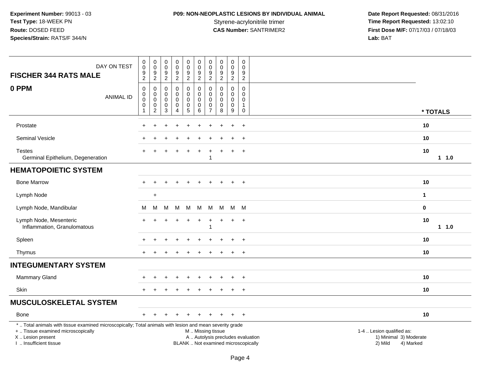# **P09: NON-NEOPLASTIC LESIONS BY INDIVIDUAL ANIMAL**

| DAY ON TEST<br><b>FISCHER 344 RATS MALE</b>                                                                                                                                                   | $\pmb{0}$<br>$\overline{0}$<br>$\frac{9}{2}$                       | $\begin{smallmatrix}0\\0\end{smallmatrix}$<br>$\frac{9}{2}$         | 0<br>0<br>$\frac{9}{2}$                           | $_{\rm 0}^{\rm 0}$<br>$\frac{9}{2}$                                    | 0<br>$\overline{0}$<br>$\frac{9}{2}$         | $\pmb{0}$<br>$\overline{0}$<br>$\frac{9}{2}$                | 0<br>$\ddot{\mathbf{0}}$<br>$\boldsymbol{9}$                           | $\mathbf 0$<br>$\overline{0}$<br>$\frac{9}{2}$  | $\pmb{0}$<br>$\overline{0}$<br>$\frac{9}{2}$              | $\mathbf 0$<br>$\mathbf 0$<br>$\frac{9}{2}$                              |                                                                          |                                                                             |               |
|-----------------------------------------------------------------------------------------------------------------------------------------------------------------------------------------------|--------------------------------------------------------------------|---------------------------------------------------------------------|---------------------------------------------------|------------------------------------------------------------------------|----------------------------------------------|-------------------------------------------------------------|------------------------------------------------------------------------|-------------------------------------------------|-----------------------------------------------------------|--------------------------------------------------------------------------|--------------------------------------------------------------------------|-----------------------------------------------------------------------------|---------------|
| 0 PPM<br><b>ANIMAL ID</b>                                                                                                                                                                     | $\mathsf 0$<br>$\pmb{0}$<br>$\pmb{0}$<br>$\pmb{0}$<br>$\mathbf{1}$ | $\boldsymbol{0}$<br>$\mathbf 0$<br>$\pmb{0}$<br>0<br>$\overline{2}$ | $\mathbf 0$<br>0<br>$\mathbf 0$<br>$\pmb{0}$<br>3 | $\pmb{0}$<br>$\mathbf 0$<br>$\mathbf 0$<br>$\pmb{0}$<br>$\overline{4}$ | 0<br>0<br>$\mathbf 0$<br>0<br>$\overline{5}$ | $\mathsf 0$<br>$\mathbf 0$<br>$\mathbf 0$<br>$\pmb{0}$<br>6 | $\overline{2}$<br>0<br>0<br>$\mathbf 0$<br>$\pmb{0}$<br>$\overline{7}$ | $\Omega$<br>$\mathbf{0}$<br>0<br>$\pmb{0}$<br>8 | $\mathsf{O}\xspace$<br>$\mathbf 0$<br>0<br>$\pmb{0}$<br>9 | $\mathbf 0$<br>$\mathbf 0$<br>$\mathbf 0$<br>$\mathbf{1}$<br>$\mathbf 0$ |                                                                          |                                                                             | * TOTALS      |
| Prostate                                                                                                                                                                                      |                                                                    |                                                                     |                                                   |                                                                        |                                              |                                                             |                                                                        |                                                 |                                                           | $\ddot{}$                                                                |                                                                          |                                                                             | 10            |
| Seminal Vesicle                                                                                                                                                                               |                                                                    |                                                                     |                                                   |                                                                        |                                              |                                                             |                                                                        |                                                 |                                                           | $\ddot{}$                                                                |                                                                          |                                                                             | 10            |
| <b>Testes</b><br>Germinal Epithelium, Degeneration                                                                                                                                            |                                                                    |                                                                     |                                                   |                                                                        |                                              |                                                             | 1                                                                      |                                                 |                                                           | $\ddot{}$                                                                |                                                                          |                                                                             | 10<br>11.0    |
| <b>HEMATOPOIETIC SYSTEM</b>                                                                                                                                                                   |                                                                    |                                                                     |                                                   |                                                                        |                                              |                                                             |                                                                        |                                                 |                                                           |                                                                          |                                                                          |                                                                             |               |
| <b>Bone Marrow</b>                                                                                                                                                                            | $+$                                                                | $\ddot{}$                                                           | +                                                 | $\overline{+}$                                                         | $\ddot{}$                                    | $\ddot{}$                                                   | $\ddot{}$                                                              | $\pm$                                           | $\ddot{}$                                                 | $+$                                                                      |                                                                          |                                                                             | 10            |
| Lymph Node                                                                                                                                                                                    |                                                                    | $\ddot{}$                                                           |                                                   |                                                                        |                                              |                                                             |                                                                        |                                                 |                                                           |                                                                          |                                                                          |                                                                             | $\mathbf{1}$  |
| Lymph Node, Mandibular                                                                                                                                                                        | M                                                                  | M                                                                   | M                                                 | M                                                                      | М                                            | M                                                           | M                                                                      | М                                               |                                                           | M M                                                                      |                                                                          |                                                                             | $\pmb{0}$     |
| Lymph Node, Mesenteric<br>Inflammation, Granulomatous                                                                                                                                         |                                                                    |                                                                     |                                                   |                                                                        |                                              |                                                             | $\mathbf{1}$                                                           |                                                 | $\pm$                                                     | $\ddot{}$                                                                |                                                                          |                                                                             | 10<br>$1 1.0$ |
| Spleen                                                                                                                                                                                        |                                                                    |                                                                     |                                                   |                                                                        |                                              |                                                             |                                                                        |                                                 |                                                           | $\overline{+}$                                                           |                                                                          |                                                                             | 10            |
| Thymus                                                                                                                                                                                        | $+$                                                                |                                                                     |                                                   |                                                                        |                                              |                                                             |                                                                        |                                                 | $+$                                                       | $+$                                                                      |                                                                          |                                                                             | 10            |
| <b>INTEGUMENTARY SYSTEM</b>                                                                                                                                                                   |                                                                    |                                                                     |                                                   |                                                                        |                                              |                                                             |                                                                        |                                                 |                                                           |                                                                          |                                                                          |                                                                             |               |
| Mammary Gland                                                                                                                                                                                 |                                                                    |                                                                     |                                                   |                                                                        |                                              |                                                             |                                                                        |                                                 |                                                           | $\ddot{}$                                                                |                                                                          |                                                                             | 10            |
| Skin                                                                                                                                                                                          |                                                                    |                                                                     |                                                   |                                                                        |                                              |                                                             |                                                                        |                                                 |                                                           | $\ddot{}$                                                                |                                                                          |                                                                             | 10            |
| <b>MUSCULOSKELETAL SYSTEM</b>                                                                                                                                                                 |                                                                    |                                                                     |                                                   |                                                                        |                                              |                                                             |                                                                        |                                                 |                                                           |                                                                          |                                                                          |                                                                             |               |
| Bone                                                                                                                                                                                          |                                                                    |                                                                     |                                                   |                                                                        |                                              |                                                             |                                                                        |                                                 | ÷                                                         | $+$                                                                      |                                                                          |                                                                             | 10            |
| *  Total animals with tissue examined microscopically; Total animals with lesion and mean severity grade<br>+  Tissue examined microscopically<br>X  Lesion present<br>I  Insufficient tissue |                                                                    |                                                                     |                                                   |                                                                        |                                              | M  Missing tissue                                           |                                                                        |                                                 |                                                           |                                                                          | A  Autolysis precludes evaluation<br>BLANK  Not examined microscopically | 1-4  Lesion qualified as:<br>1) Minimal 3) Moderate<br>2) Mild<br>4) Marked |               |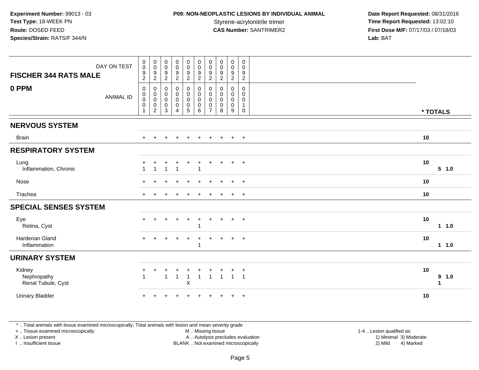## **P09: NON-NEOPLASTIC LESIONS BY INDIVIDUAL ANIMAL**

 **Date Report Requested:** 08/31/2016 Styrene-acrylonitrile trimer<br>
CAS Number: SANTRIMER2<br> **CAS Number:** SANTRIMER2<br> **Time Report Requested:** 13:02:10 **First Dose M/F:** 07/17/03 / 07/18/03<br>Lab: BAT **Lab:** BAT

| DAY ON TEST<br><b>FISCHER 344 RATS MALE</b> | $\pmb{0}$<br>$\mathbf 0$<br>$\boldsymbol{9}$<br>$\overline{2}$       | $\pmb{0}$<br>$\mathbf 0$<br>9<br>$\overline{c}$              | $\pmb{0}$<br>$\pmb{0}$<br>$\frac{9}{2}$                      | $\pmb{0}$<br>$\pmb{0}$<br>$\frac{9}{2}$                         | $\pmb{0}$<br>$\mathsf{O}\xspace$<br>$\frac{9}{2}$                                      | $_{\rm 0}^{\rm 0}$<br>$\boldsymbol{9}$<br>$\overline{2}$    | $\pmb{0}$<br>$\mathbf 0$<br>9<br>$\sqrt{2}$            | $\mathsf 0$<br>$\pmb{0}$<br>9<br>$\boldsymbol{2}$ | $\mathbf 0$<br>$\mathsf{O}\xspace$<br>9<br>$\overline{c}$ | $\boldsymbol{0}$<br>0<br>$\frac{9}{2}$             |                  |
|---------------------------------------------|----------------------------------------------------------------------|--------------------------------------------------------------|--------------------------------------------------------------|-----------------------------------------------------------------|----------------------------------------------------------------------------------------|-------------------------------------------------------------|--------------------------------------------------------|---------------------------------------------------|-----------------------------------------------------------|----------------------------------------------------|------------------|
| 0 PPM<br><b>ANIMAL ID</b>                   | $\mathbf 0$<br>$\mathbf 0$<br>$\pmb{0}$<br>$\pmb{0}$<br>$\mathbf{1}$ | 0<br>$\mathbf 0$<br>$\pmb{0}$<br>$\pmb{0}$<br>$\overline{c}$ | 0<br>$\pmb{0}$<br>$\mathbf 0$<br>$\pmb{0}$<br>$\mathfrak{Z}$ | $\pmb{0}$<br>$\pmb{0}$<br>$\mathsf{O}\xspace$<br>$\pmb{0}$<br>4 | $\mathbf 0$<br>$\mathsf{O}$<br>$\mathsf{O}\xspace$<br>$\begin{matrix}0\\5\end{matrix}$ | $\mathbf 0$<br>$\mathbf 0$<br>$\mathbf 0$<br>$\pmb{0}$<br>6 | 0<br>$\mathbf 0$<br>$\mathbf 0$<br>0<br>$\overline{7}$ | 0<br>$\mathbf 0$<br>$\mathbf 0$<br>$\pmb{0}$<br>8 | $\mathbf 0$<br>0<br>$\mathbf 0$<br>$\mathbf 0$<br>9       | 0<br>0<br>$\mathbf 0$<br>$\mathbf{1}$<br>$\pmb{0}$ | * TOTALS         |
| <b>NERVOUS SYSTEM</b>                       |                                                                      |                                                              |                                                              |                                                                 |                                                                                        |                                                             |                                                        |                                                   |                                                           |                                                    |                  |
| <b>Brain</b>                                | $\ddot{}$                                                            | $\ddot{}$                                                    |                                                              | $\overline{ }$                                                  | $\ddot{}$                                                                              | $\ddot{}$                                                   | $\ddot{}$                                              | $\pm$                                             | $+$                                                       | $+$                                                | 10               |
| <b>RESPIRATORY SYSTEM</b>                   |                                                                      |                                                              |                                                              |                                                                 |                                                                                        |                                                             |                                                        |                                                   |                                                           |                                                    |                  |
| Lung<br>Inflammation, Chronic               | 1                                                                    | 1                                                            | $\overline{1}$                                               | $\ddot{}$<br>$\mathbf 1$                                        | $\ddot{}$                                                                              | ÷.<br>$\overline{\mathbf{1}}$                               | $\ddot{}$                                              |                                                   | $+$                                                       | $+$                                                | 10<br>5 1.0      |
| Nose                                        |                                                                      |                                                              |                                                              |                                                                 |                                                                                        |                                                             |                                                        |                                                   | $\ddot{}$                                                 | $+$                                                | 10               |
| Trachea                                     | $+$                                                                  |                                                              |                                                              |                                                                 |                                                                                        |                                                             |                                                        |                                                   | $\ddot{}$                                                 | $+$                                                | 10               |
| <b>SPECIAL SENSES SYSTEM</b>                |                                                                      |                                                              |                                                              |                                                                 |                                                                                        |                                                             |                                                        |                                                   |                                                           |                                                    |                  |
| Eye<br>Retina, Cyst                         | $+$                                                                  | ÷                                                            | ÷                                                            | $\overline{+}$                                                  | $\ddot{}$                                                                              | $\ddot{}$<br>-1                                             | $\ddot{}$                                              | $\ddot{}$                                         | $\ddot{}$                                                 | $+$                                                | 10<br>11.0       |
| <b>Harderian Gland</b><br>Inflammation      | $+$                                                                  | $\ddot{}$                                                    | $\pm$                                                        | $\overline{+}$                                                  | $\ddot{}$                                                                              | $\ddot{}$<br>$\overline{\mathbf{1}}$                        | $\ddot{}$                                              |                                                   | $+$                                                       | $+$                                                | 10<br>11.0       |
| <b>URINARY SYSTEM</b>                       |                                                                      |                                                              |                                                              |                                                                 |                                                                                        |                                                             |                                                        |                                                   |                                                           |                                                    |                  |
| Kidney<br>Nephropathy<br>Renal Tubule, Cyst | +<br>$\mathbf{1}$                                                    |                                                              | 1                                                            | ٠<br>$\overline{1}$                                             | ٠<br>$\mathsf X$                                                                       | $\overline{\mathbf{1}}$                                     | $\mathbf{1}$                                           | $\mathbf{1}$                                      | $\overline{1}$                                            | $^{+}$<br>$\overline{1}$                           | 10<br>9 1.0<br>1 |
| <b>Urinary Bladder</b>                      |                                                                      |                                                              |                                                              |                                                                 |                                                                                        |                                                             |                                                        |                                                   |                                                           | $+$                                                | 10               |

\* .. Total animals with tissue examined microscopically; Total animals with lesion and mean severity grade

+ .. Tissue examined microscopically

X .. Lesion present

I .. Insufficient tissue

M .. Missing tissue

Lesion present A .. Autolysis precludes evaluation 1) Minimal 3) Moderate

1-4 .. Lesion qualified as:<br>1) Minimal 3) Moderate BLANK .. Not examined microscopically 2) Mild 4) Marked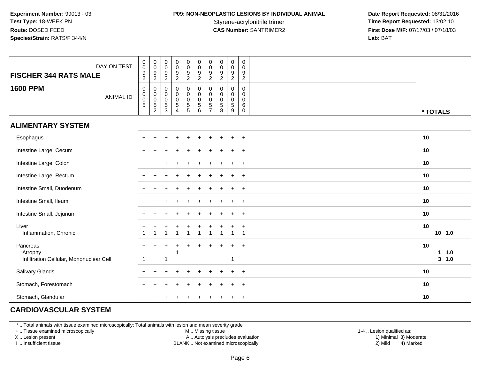## **P09: NON-NEOPLASTIC LESIONS BY INDIVIDUAL ANIMAL**

 **Date Report Requested:** 08/31/2016 Styrene-acrylonitrile trimer<br>
CAS Number: SANTRIMER2<br> **CAS Number:** SANTRIMER2<br> **Time Report Requested:** 13:02:10<br> **First Dose M/F:** 07/17/03 / 07/18/03 **First Dose M/F:** 07/17/03 / 07/18/03<br>**Lab:** BAT **Lab:** BAT

| <b>FISCHER 344 RATS MALE</b>            | DAY ON TEST      | $\pmb{0}$<br>$\overline{0}$<br>$\frac{9}{2}$                              | $_{\rm 0}^{\rm 0}$<br>$\frac{9}{2}$ | $\mathbf 0$<br>$\mathsf{O}\xspace$<br>$\frac{9}{2}$      | $\pmb{0}$<br>$\overline{0}$<br>$\frac{9}{2}$                         | $\pmb{0}$<br>$\pmb{0}$<br>$\frac{9}{2}$ | $\pmb{0}$<br>$\ddot{\mathbf{0}}$<br>$\frac{9}{2}$             | $\mathbf 0$<br>$\ddot{\mathbf{0}}$<br>$\frac{9}{2}$                       | $\mathbf 0$<br>$\pmb{0}$<br>$\frac{9}{2}$ | $\mathbf 0$<br>$\pmb{0}$<br>$\frac{9}{2}$                         | 0<br>$\mathbf 0$<br>9<br>$\overline{2}$                           |                          |
|-----------------------------------------|------------------|---------------------------------------------------------------------------|-------------------------------------|----------------------------------------------------------|----------------------------------------------------------------------|-----------------------------------------|---------------------------------------------------------------|---------------------------------------------------------------------------|-------------------------------------------|-------------------------------------------------------------------|-------------------------------------------------------------------|--------------------------|
| <b>1600 PPM</b>                         | <b>ANIMAL ID</b> | $\pmb{0}$<br>$\begin{array}{c} 0 \\ 0 \\ 5 \end{array}$<br>$\overline{1}$ | 0<br>0<br>0<br>5<br>2               | $\mathbf 0$<br>$\pmb{0}$<br>$\mathbf 0$<br>$\frac{5}{3}$ | $\pmb{0}$<br>$\,0\,$<br>$\mathbf 0$<br>$\,$ 5 $\,$<br>$\overline{4}$ | 0<br>$\pmb{0}$<br>$\frac{0}{5}$         | $\begin{smallmatrix} 0\\0 \end{smallmatrix}$<br>$\frac{0}{5}$ | $\mathbf 0$<br>$\mathbf 0$<br>$\mathbf 0$<br>$\sqrt{5}$<br>$\overline{7}$ | 0<br>0<br>0<br>$\sqrt{5}$<br>8            | $\mathbf 0$<br>$\boldsymbol{0}$<br>$\mathbf 0$<br>$\sqrt{5}$<br>9 | 0<br>$\mathbf 0$<br>$\mathbf 0$<br>$\,6\,$<br>$\mathsf{O}\xspace$ | * TOTALS                 |
| <b>ALIMENTARY SYSTEM</b>                |                  |                                                                           |                                     |                                                          |                                                                      |                                         |                                                               |                                                                           |                                           |                                                                   |                                                                   |                          |
| Esophagus                               |                  |                                                                           |                                     |                                                          |                                                                      |                                         |                                                               |                                                                           |                                           |                                                                   | $+$                                                               | 10                       |
| Intestine Large, Cecum                  |                  |                                                                           |                                     |                                                          |                                                                      |                                         |                                                               |                                                                           |                                           |                                                                   | $+$                                                               | 10                       |
| Intestine Large, Colon                  |                  |                                                                           |                                     |                                                          |                                                                      |                                         |                                                               |                                                                           |                                           |                                                                   | $+$                                                               | 10                       |
| Intestine Large, Rectum                 |                  |                                                                           |                                     |                                                          |                                                                      |                                         |                                                               |                                                                           |                                           |                                                                   | $+$                                                               | 10                       |
| Intestine Small, Duodenum               |                  |                                                                           |                                     |                                                          |                                                                      |                                         |                                                               |                                                                           |                                           |                                                                   | $+$                                                               | 10                       |
| Intestine Small, Ileum                  |                  | $+$                                                                       |                                     |                                                          |                                                                      |                                         |                                                               |                                                                           |                                           |                                                                   | $^{+}$                                                            | 10                       |
| Intestine Small, Jejunum                |                  | $\pm$                                                                     |                                     |                                                          |                                                                      |                                         |                                                               |                                                                           |                                           |                                                                   | $+$                                                               | 10                       |
| Liver<br>Inflammation, Chronic          |                  |                                                                           |                                     |                                                          | $\overline{1}$                                                       | $\mathbf{1}$                            | $\mathbf{1}$                                                  | $\ddot{}$                                                                 |                                           | $\overline{1}$                                                    | $\overline{1}$<br>$\overline{1}$                                  | 10<br>10, 1.0            |
| Pancreas<br>Atrophy                     |                  | $+$                                                                       | $\ddot{}$                           |                                                          |                                                                      | ٠                                       |                                                               | ÷                                                                         |                                           |                                                                   | $\overline{+}$                                                    | 10<br>1.0<br>$\mathbf 1$ |
| Infiltration Cellular, Mononuclear Cell |                  | -1                                                                        |                                     | $\mathbf 1$                                              |                                                                      |                                         |                                                               |                                                                           |                                           | -1                                                                |                                                                   | $3 - 1.0$<br>10          |
| Salivary Glands<br>Stomach, Forestomach |                  |                                                                           |                                     |                                                          |                                                                      |                                         |                                                               |                                                                           |                                           |                                                                   | $\ddot{}$<br>$\ddot{}$                                            | 10                       |
| Stomach, Glandular                      |                  |                                                                           |                                     |                                                          |                                                                      |                                         |                                                               |                                                                           |                                           |                                                                   | $\overline{+}$                                                    | 10                       |

#### **CARDIOVASCULAR SYSTEM**

\* .. Total animals with tissue examined microscopically; Total animals with lesion and mean severity grade

+ .. Tissue examined microscopically

X .. Lesion present

I .. Insufficient tissue

M .. Missing tissue

A .. Autolysis precludes evaluation

BLANK .. Not examined microscopically 2) Mild 4) Marked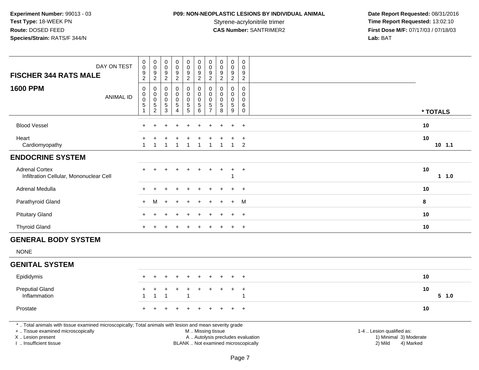# **P09: NON-NEOPLASTIC LESIONS BY INDIVIDUAL ANIMAL**

| DAY ON TEST<br><b>FISCHER 344 RATS MALE</b>                                                                                                                                                   | $\pmb{0}$<br>$\mathsf{O}\xspace$<br>9<br>$\overline{2}$ | $\mathbf 0$<br>$\pmb{0}$<br>$\frac{9}{2}$               | $\boldsymbol{0}$<br>$\pmb{0}$<br>9<br>$\sqrt{2}$                              | 0<br>$\mathbf 0$<br>9<br>$\overline{c}$                    | $\mathbf 0$<br>$\overline{0}$<br>$\frac{9}{2}$    | $\pmb{0}$<br>$\ddot{\mathbf{0}}$<br>9<br>$\overline{2}$                                  | $\pmb{0}$<br>$\pmb{0}$<br>$\boldsymbol{9}$<br>$\overline{2}$ | $\pmb{0}$<br>$\boldsymbol{0}$<br>$9\,$<br>$\overline{c}$ | $\mathbf 0$<br>$\mathbf 0$<br>$9\,$<br>$\overline{2}$      | 0<br>$\mathbf 0$<br>9<br>$\overline{2}$             |                                                                                                                                                         |          |
|-----------------------------------------------------------------------------------------------------------------------------------------------------------------------------------------------|---------------------------------------------------------|---------------------------------------------------------|-------------------------------------------------------------------------------|------------------------------------------------------------|---------------------------------------------------|------------------------------------------------------------------------------------------|--------------------------------------------------------------|----------------------------------------------------------|------------------------------------------------------------|-----------------------------------------------------|---------------------------------------------------------------------------------------------------------------------------------------------------------|----------|
| <b>1600 PPM</b><br><b>ANIMAL ID</b>                                                                                                                                                           | $\mathbf 0$<br>0<br>$\mathsf{O}\xspace$<br>5            | $\boldsymbol{0}$<br>$_{\rm 0}^{\rm 0}$<br>$\frac{5}{2}$ | $\mathbf 0$<br>$\mathbf 0$<br>$\mathbf 0$<br>$\overline{5}$<br>$\overline{3}$ | $\pmb{0}$<br>$\mathbf 0$<br>$\mathbf 0$<br>$\sqrt{5}$<br>4 | $\mathsf{O}$<br>0<br>$\mathbf 0$<br>$\frac{5}{5}$ | $\pmb{0}$<br>$\mathbf 0$<br>$\ddot{\mathbf{0}}$<br>$\begin{array}{c} 5 \\ 6 \end{array}$ | $\pmb{0}$<br>$\mathbf 0$<br>$\mathbf 0$<br>$\frac{5}{7}$     | 0<br>$\mathbf 0$<br>0<br>$\sqrt{5}$<br>8                 | $\pmb{0}$<br>$\mathbf 0$<br>$\mathbf 0$<br>$\sqrt{5}$<br>9 | 0<br>$\mathbf 0$<br>$\mathbf 0$<br>6<br>$\mathbf 0$ |                                                                                                                                                         | * TOTALS |
| <b>Blood Vessel</b>                                                                                                                                                                           |                                                         |                                                         |                                                                               |                                                            |                                                   |                                                                                          |                                                              |                                                          |                                                            | $\ddot{}$                                           | 10                                                                                                                                                      |          |
| Heart<br>Cardiomyopathy                                                                                                                                                                       |                                                         | $\overline{1}$                                          | $\mathbf{1}$                                                                  | 1                                                          | $\overline{1}$                                    | $\overline{1}$                                                                           | $\overline{1}$                                               | 1                                                        | $\mathbf{1}$                                               | $\ddot{}$<br>2                                      | 10                                                                                                                                                      | $10$ 1.1 |
| <b>ENDOCRINE SYSTEM</b>                                                                                                                                                                       |                                                         |                                                         |                                                                               |                                                            |                                                   |                                                                                          |                                                              |                                                          |                                                            |                                                     |                                                                                                                                                         |          |
| <b>Adrenal Cortex</b><br>Infiltration Cellular, Mononuclear Cell                                                                                                                              |                                                         |                                                         |                                                                               |                                                            |                                                   |                                                                                          |                                                              |                                                          | 1                                                          | $^{+}$                                              | 10                                                                                                                                                      | $1 1.0$  |
| Adrenal Medulla                                                                                                                                                                               |                                                         |                                                         |                                                                               |                                                            |                                                   |                                                                                          |                                                              |                                                          |                                                            | $\overline{1}$                                      | 10                                                                                                                                                      |          |
| Parathyroid Gland                                                                                                                                                                             |                                                         | м                                                       |                                                                               |                                                            |                                                   |                                                                                          |                                                              |                                                          |                                                            | M                                                   | 8                                                                                                                                                       |          |
| <b>Pituitary Gland</b>                                                                                                                                                                        |                                                         |                                                         |                                                                               |                                                            |                                                   |                                                                                          |                                                              |                                                          | +                                                          | $+$                                                 | 10                                                                                                                                                      |          |
| <b>Thyroid Gland</b>                                                                                                                                                                          |                                                         |                                                         |                                                                               |                                                            |                                                   |                                                                                          |                                                              |                                                          | $\div$                                                     | $+$                                                 | 10                                                                                                                                                      |          |
| <b>GENERAL BODY SYSTEM</b>                                                                                                                                                                    |                                                         |                                                         |                                                                               |                                                            |                                                   |                                                                                          |                                                              |                                                          |                                                            |                                                     |                                                                                                                                                         |          |
| <b>NONE</b>                                                                                                                                                                                   |                                                         |                                                         |                                                                               |                                                            |                                                   |                                                                                          |                                                              |                                                          |                                                            |                                                     |                                                                                                                                                         |          |
| <b>GENITAL SYSTEM</b>                                                                                                                                                                         |                                                         |                                                         |                                                                               |                                                            |                                                   |                                                                                          |                                                              |                                                          |                                                            |                                                     |                                                                                                                                                         |          |
| Epididymis                                                                                                                                                                                    | $+$                                                     | $\div$                                                  | ÷                                                                             |                                                            | $\div$                                            | $\ddot{}$                                                                                | $\ddot{}$                                                    | $\pm$                                                    | $\ddot{}$                                                  | $+$                                                 | 10                                                                                                                                                      |          |
| <b>Preputial Gland</b><br>Inflammation                                                                                                                                                        |                                                         | 1                                                       | 1                                                                             |                                                            | -1                                                |                                                                                          | $\overline{ }$                                               |                                                          | ÷                                                          | $\ddot{}$<br>$\mathbf 1$                            | 10                                                                                                                                                      | 5 1.0    |
| Prostate                                                                                                                                                                                      |                                                         |                                                         |                                                                               |                                                            |                                                   |                                                                                          |                                                              |                                                          |                                                            | $^{+}$                                              | 10                                                                                                                                                      |          |
| *  Total animals with tissue examined microscopically; Total animals with lesion and mean severity grade<br>+  Tissue examined microscopically<br>X  Lesion present<br>I  Insufficient tissue |                                                         |                                                         |                                                                               |                                                            |                                                   |                                                                                          |                                                              | M  Missing tissue                                        |                                                            |                                                     | 1-4  Lesion qualified as:<br>A  Autolysis precludes evaluation<br>1) Minimal 3) Moderate<br>BLANK  Not examined microscopically<br>2) Mild<br>4) Marked |          |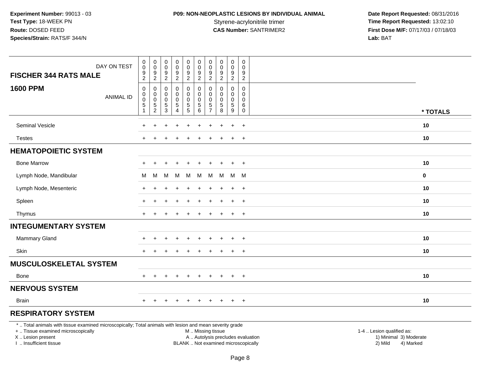# **P09: NON-NEOPLASTIC LESIONS BY INDIVIDUAL ANIMAL**

 **Date Report Requested:** 08/31/2016 Styrene-acrylonitrile trimer<br> **CAS Number:** SANTRIMER2 **Time Report Requested:** 13:02:10<br> **Time Report Requested:** 13:02:10 **First Dose M/F:** 07/17/03 / 07/18/03<br>Lab: BAT **Lab:** BAT

| DAY ON TEST<br><b>FISCHER 344 RATS MALE</b>                                                                                                                         | $\pmb{0}$<br>$\mathsf 0$<br>9<br>$\overline{2}$ | $\pmb{0}$<br>$\mathbf 0$<br>$9\,$<br>$\overline{2}$ | $\pmb{0}$<br>$\mathbf 0$<br>$\boldsymbol{9}$<br>$\overline{2}$ | 0<br>0<br>9<br>$\overline{2}$                | $\pmb{0}$<br>$_{9}^{\rm 0}$<br>$\overline{2}$                            | $\pmb{0}$<br>$\mathbf 0$<br>9<br>$\overline{2}$          | 0<br>$\mathbf 0$<br>9<br>$\sqrt{2}$                        | $\mathsf 0$<br>$\mathbf 0$<br>9<br>$\overline{2}$    | 0<br>$\mathsf{O}\xspace$<br>$\boldsymbol{9}$<br>$\overline{2}$ | $\pmb{0}$<br>$\mathbf 0$<br>9<br>$\overline{2}$  |                                                                                          |          |
|---------------------------------------------------------------------------------------------------------------------------------------------------------------------|-------------------------------------------------|-----------------------------------------------------|----------------------------------------------------------------|----------------------------------------------|--------------------------------------------------------------------------|----------------------------------------------------------|------------------------------------------------------------|------------------------------------------------------|----------------------------------------------------------------|--------------------------------------------------|------------------------------------------------------------------------------------------|----------|
| <b>1600 PPM</b><br><b>ANIMAL ID</b>                                                                                                                                 | $\mathbf 0$<br>0<br>0<br>$\,$ 5 $\,$<br>1       | $\mathbf 0$<br>0<br>$\mathbf 0$<br>$\frac{5}{2}$    | 0<br>0<br>0<br>$\,$ 5 $\,$<br>$\mathbf{3}$                     | $\mathbf 0$<br>0<br>0<br>5<br>$\overline{4}$ | 0<br>$\mathbf 0$<br>$\mathbf 0$<br>$\begin{array}{c} 5 \\ 5 \end{array}$ | $\mathbf 0$<br>$\mathbf 0$<br>0<br>$\sqrt{5}$<br>$\,6\,$ | 0<br>$\Omega$<br>$\Omega$<br>$\,$ 5 $\,$<br>$\overline{7}$ | $\Omega$<br>$\Omega$<br>$\Omega$<br>$\,$ 5 $\,$<br>8 | 0<br>0<br>0<br>$5\,$<br>9                                      | $\mathbf 0$<br>$\Omega$<br>0<br>6<br>$\mathbf 0$ |                                                                                          | * TOTALS |
| Seminal Vesicle                                                                                                                                                     |                                                 |                                                     |                                                                |                                              |                                                                          |                                                          |                                                            |                                                      | $\ddot{}$                                                      | $\ddot{}$                                        | 10                                                                                       |          |
| <b>Testes</b>                                                                                                                                                       |                                                 |                                                     |                                                                |                                              |                                                                          |                                                          |                                                            |                                                      | $\ddot{}$                                                      | $+$                                              | 10                                                                                       |          |
| <b>HEMATOPOIETIC SYSTEM</b>                                                                                                                                         |                                                 |                                                     |                                                                |                                              |                                                                          |                                                          |                                                            |                                                      |                                                                |                                                  |                                                                                          |          |
| <b>Bone Marrow</b>                                                                                                                                                  |                                                 |                                                     |                                                                |                                              |                                                                          |                                                          |                                                            |                                                      | $\pm$                                                          | $+$                                              | 10                                                                                       |          |
| Lymph Node, Mandibular                                                                                                                                              | м                                               | M                                                   | M                                                              | M                                            | M                                                                        | M                                                        | М                                                          | M                                                    | M M                                                            |                                                  | $\mathbf 0$                                                                              |          |
| Lymph Node, Mesenteric                                                                                                                                              | $\pm$                                           |                                                     |                                                                | $\div$                                       | $\ddot{}$                                                                | $\pm$                                                    | $\pm$                                                      |                                                      | $\ddot{+}$                                                     | $+$                                              | 10                                                                                       |          |
| Spleen                                                                                                                                                              |                                                 |                                                     |                                                                |                                              |                                                                          |                                                          |                                                            |                                                      | $\ddot{}$                                                      | $\overline{+}$                                   | 10                                                                                       |          |
| Thymus                                                                                                                                                              | $+$                                             |                                                     |                                                                |                                              |                                                                          |                                                          |                                                            |                                                      | $\ddot{}$                                                      | $+$                                              | 10                                                                                       |          |
| <b>INTEGUMENTARY SYSTEM</b>                                                                                                                                         |                                                 |                                                     |                                                                |                                              |                                                                          |                                                          |                                                            |                                                      |                                                                |                                                  |                                                                                          |          |
| <b>Mammary Gland</b>                                                                                                                                                |                                                 |                                                     |                                                                |                                              |                                                                          |                                                          |                                                            |                                                      |                                                                | $\overline{+}$                                   | 10                                                                                       |          |
| Skin                                                                                                                                                                | ÷                                               |                                                     |                                                                |                                              |                                                                          |                                                          |                                                            |                                                      | $\ddot{}$                                                      | $+$                                              | 10                                                                                       |          |
| <b>MUSCULOSKELETAL SYSTEM</b>                                                                                                                                       |                                                 |                                                     |                                                                |                                              |                                                                          |                                                          |                                                            |                                                      |                                                                |                                                  |                                                                                          |          |
| <b>Bone</b>                                                                                                                                                         |                                                 |                                                     |                                                                | $\pm$                                        | $\ddot{}$                                                                | $\ddot{}$                                                | $\pm$                                                      | $\pm$                                                | $\overline{+}$                                                 | $+$                                              | 10                                                                                       |          |
| <b>NERVOUS SYSTEM</b>                                                                                                                                               |                                                 |                                                     |                                                                |                                              |                                                                          |                                                          |                                                            |                                                      |                                                                |                                                  |                                                                                          |          |
| Brain                                                                                                                                                               | $+$                                             | $+$                                                 | $+$                                                            | $+$                                          | $+$                                                                      | $+$                                                      |                                                            | + + + +                                              |                                                                |                                                  | 10                                                                                       |          |
| <b>RESPIRATORY SYSTEM</b>                                                                                                                                           |                                                 |                                                     |                                                                |                                              |                                                                          |                                                          |                                                            |                                                      |                                                                |                                                  |                                                                                          |          |
| *  Total animals with tissue examined microscopically; Total animals with lesion and mean severity grade<br>+  Tissue examined microscopically<br>X  Lesion present |                                                 |                                                     |                                                                |                                              |                                                                          | M  Missing tissue                                        |                                                            |                                                      |                                                                |                                                  | 1-4  Lesion qualified as:<br>A  Autolysis precludes evaluation<br>1) Minimal 3) Moderate |          |

I .. Insufficient tissue

BLANK .. Not examined microscopically 2) Mild 4) Marked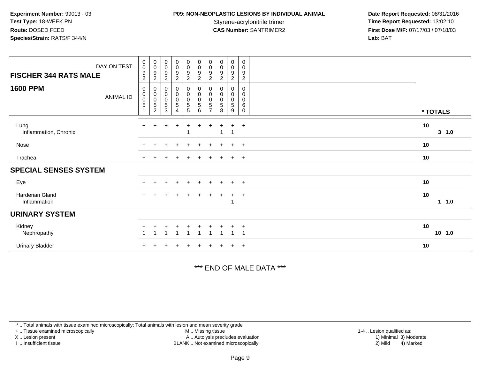## **P09: NON-NEOPLASTIC LESIONS BY INDIVIDUAL ANIMAL**

 **Date Report Requested:** 08/31/2016 Styrene-acrylonitrile trimer<br>
CAS Number: SANTRIMER2<br> **CAS Number:** SANTRIMER2<br> **Time Report Requested:** 13:02:10 **First Dose M/F:** 07/17/03 / 07/18/03<br>**Lab:** BAT **Lab:** BAT

| DAY ON TEST<br><b>FISCHER 344 RATS MALE</b> | $_{\rm 0}^{\rm 0}$<br>$\boldsymbol{9}$<br>$\sqrt{2}$ | $_{\rm 0}^{\rm 0}$<br>9<br>$\overline{c}$          | $_{\rm 0}^{\rm 0}$<br>9<br>$\boldsymbol{2}$  | $_0^0$<br>9<br>$\overline{a}$ | $_{\rm 0}^{\rm 0}$<br>$\boldsymbol{9}$<br>$\overline{c}$ | $\begin{smallmatrix} 0\\0 \end{smallmatrix}$<br>$\boldsymbol{9}$<br>$\sqrt{2}$ | $_{\rm 0}^{\rm 0}$<br>9<br>$\overline{c}$  | $_{\rm 0}^{\rm 0}$<br>9<br>$\overline{c}$ | $\begin{smallmatrix} 0\\0 \end{smallmatrix}$<br>9<br>$\overline{c}$ | $\mathbf 0$<br>$\pmb{0}$<br>9<br>$\overline{c}$ |    |          |
|---------------------------------------------|------------------------------------------------------|----------------------------------------------------|----------------------------------------------|-------------------------------|----------------------------------------------------------|--------------------------------------------------------------------------------|--------------------------------------------|-------------------------------------------|---------------------------------------------------------------------|-------------------------------------------------|----|----------|
| <b>1600 PPM</b><br><b>ANIMAL ID</b>         | 0<br>$\pmb{0}$<br>$\pmb{0}$<br>$\sqrt{5}$            | 0<br>$\pmb{0}$<br>$\pmb{0}$<br>5<br>$\overline{c}$ | 0<br>$\pmb{0}$<br>$\boldsymbol{0}$<br>5<br>3 | $_{0}^{0}$<br>0<br>5<br>4     | $_{\rm 0}^{\rm 0}$<br>$\pmb{0}$<br>$\frac{5}{5}$         | $_{\rm 0}^{\rm 0}$<br>$\pmb{0}$<br>$\,$ 5 $\,$<br>$\,6\,$                      | 0<br>$\pmb{0}$<br>0<br>5<br>$\overline{ }$ | 0<br>$\pmb{0}$<br>0<br>5<br>8             | 0<br>$\mathbf 0$<br>0<br>5<br>9                                     | 0<br>0<br>0<br>$\,6\,$<br>0                     |    | * TOTALS |
| Lung<br>Inflammation, Chronic               | $+$                                                  | $+$                                                |                                              |                               |                                                          |                                                                                |                                            | 1                                         | -1                                                                  | $\ddot{}$                                       | 10 | 3 1.0    |
| Nose                                        |                                                      |                                                    |                                              | $\ddot{}$                     | $+$                                                      | $\ddot{}$                                                                      | $\pm$                                      | $\ddot{}$                                 | $\ddot{}$                                                           | $+$                                             | 10 |          |
| Trachea                                     |                                                      |                                                    |                                              |                               |                                                          |                                                                                |                                            |                                           | $\ddot{}$                                                           | $+$                                             | 10 |          |
| <b>SPECIAL SENSES SYSTEM</b>                |                                                      |                                                    |                                              |                               |                                                          |                                                                                |                                            |                                           |                                                                     |                                                 |    |          |
| Eye                                         | $+$                                                  | $\ddot{}$                                          | $\ddot{}$                                    | $\ddot{}$                     | $+$                                                      | $\pm$                                                                          | $+$                                        | $+$                                       | $+$                                                                 | $+$                                             | 10 |          |
| Harderian Gland<br>Inflammation             |                                                      |                                                    |                                              |                               |                                                          |                                                                                | $\pm$                                      | $\pm$                                     | $\ddot{+}$                                                          | $+$                                             | 10 | 1 1.0    |
| <b>URINARY SYSTEM</b>                       |                                                      |                                                    |                                              |                               |                                                          |                                                                                |                                            |                                           |                                                                     |                                                 |    |          |
| Kidney<br>Nephropathy                       |                                                      |                                                    |                                              |                               |                                                          |                                                                                |                                            |                                           |                                                                     | $\ddot{}$<br>$\overline{\mathbf{A}}$            | 10 | $10$ 1.0 |
| <b>Urinary Bladder</b>                      |                                                      |                                                    |                                              |                               |                                                          |                                                                                |                                            |                                           | $\ddot{}$                                                           | $+$                                             | 10 |          |

\*\*\* END OF MALE DATA \*\*\*

\* .. Total animals with tissue examined microscopically; Total animals with lesion and mean severity grade

+ .. Tissue examined microscopically

X .. Lesion present

I .. Insufficient tissue

 M .. Missing tissueA .. Autolysis precludes evaluation

BLANK .. Not examined microscopically 2) Mild 4) Marked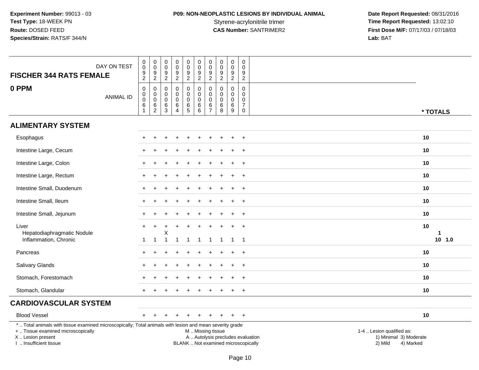# **P09: NON-NEOPLASTIC LESIONS BY INDIVIDUAL ANIMAL**

| <b>FISCHER 344 RATS FEMALE</b>                                                                                                                                                                | DAY ON TEST      | $\,0\,$<br>$\mathbf 0$<br>$\frac{9}{2}$                      | $\mathbf 0$<br>$\overline{0}$<br>$\frac{9}{2}$                       | 0<br>$\mathsf 0$<br>$\boldsymbol{9}$<br>$\overline{c}$ | $\pmb{0}$<br>$\ddot{\mathbf{0}}$<br>$\boldsymbol{9}$<br>$\overline{2}$ | $\pmb{0}$<br>$\ddot{\mathbf{0}}$<br>9<br>$\overline{2}$ | $\mathbf 0$<br>$\mathsf{O}\xspace$<br>9<br>$\overline{2}$    | $\pmb{0}$<br>$\pmb{0}$<br>$\boldsymbol{9}$<br>$\overline{2}$       | 0<br>0<br>$\boldsymbol{9}$<br>$\overline{2}$  | $\mathbf 0$<br>$\mathbf 0$<br>$\boldsymbol{9}$<br>$\overline{2}$ | 0<br>$\mathbf 0$<br>9<br>$\overline{2}$                       |                                                                                                                                            |                                 |
|-----------------------------------------------------------------------------------------------------------------------------------------------------------------------------------------------|------------------|--------------------------------------------------------------|----------------------------------------------------------------------|--------------------------------------------------------|------------------------------------------------------------------------|---------------------------------------------------------|--------------------------------------------------------------|--------------------------------------------------------------------|-----------------------------------------------|------------------------------------------------------------------|---------------------------------------------------------------|--------------------------------------------------------------------------------------------------------------------------------------------|---------------------------------|
| 0 PPM                                                                                                                                                                                         | <b>ANIMAL ID</b> | $\pmb{0}$<br>$_{\rm 0}^{\rm 0}$<br>$\,6\,$<br>$\overline{1}$ | $\pmb{0}$<br>$\mathbf 0$<br>$\mathbf 0$<br>$\,6\,$<br>$\overline{2}$ | 0<br>0<br>$\mathbf 0$<br>6<br>3                        | $\pmb{0}$<br>$\mathbf 0$<br>$\mathsf 0$<br>6<br>$\overline{4}$         | $\pmb{0}$<br>$\mathsf{O}$<br>$\mathbf 0$<br>$6\over 5$  | 0<br>$\mathbf 0$<br>$\mathbf 0$<br>$\,6\,$<br>$6\phantom{1}$ | $\pmb{0}$<br>$\pmb{0}$<br>$\mathbf 0$<br>$\,6\,$<br>$\overline{7}$ | $\Omega$<br>$\Omega$<br>$\mathbf 0$<br>6<br>8 | $\boldsymbol{0}$<br>$\mathbf 0$<br>$\mathbf 0$<br>6<br>9         | 0<br>$\Omega$<br>$\mathbf 0$<br>$\overline{7}$<br>$\mathbf 0$ |                                                                                                                                            | * TOTALS                        |
| <b>ALIMENTARY SYSTEM</b>                                                                                                                                                                      |                  |                                                              |                                                                      |                                                        |                                                                        |                                                         |                                                              |                                                                    |                                               |                                                                  |                                                               |                                                                                                                                            |                                 |
| Esophagus                                                                                                                                                                                     |                  |                                                              |                                                                      |                                                        |                                                                        |                                                         |                                                              |                                                                    |                                               |                                                                  | $\ddot{}$                                                     |                                                                                                                                            | 10                              |
| Intestine Large, Cecum                                                                                                                                                                        |                  |                                                              |                                                                      |                                                        |                                                                        |                                                         |                                                              |                                                                    |                                               |                                                                  |                                                               |                                                                                                                                            | 10                              |
| Intestine Large, Colon                                                                                                                                                                        |                  |                                                              |                                                                      |                                                        |                                                                        |                                                         |                                                              |                                                                    |                                               |                                                                  | $\overline{1}$                                                |                                                                                                                                            | 10                              |
| Intestine Large, Rectum                                                                                                                                                                       |                  |                                                              |                                                                      |                                                        |                                                                        |                                                         |                                                              |                                                                    |                                               |                                                                  | $\overline{+}$                                                |                                                                                                                                            | 10                              |
| Intestine Small, Duodenum                                                                                                                                                                     |                  |                                                              |                                                                      |                                                        |                                                                        |                                                         |                                                              |                                                                    |                                               |                                                                  | $\ddot{}$                                                     |                                                                                                                                            | 10                              |
| Intestine Small, Ileum                                                                                                                                                                        |                  |                                                              |                                                                      |                                                        |                                                                        |                                                         |                                                              |                                                                    |                                               |                                                                  | $\overline{+}$                                                |                                                                                                                                            | 10                              |
| Intestine Small, Jejunum                                                                                                                                                                      |                  |                                                              |                                                                      |                                                        |                                                                        |                                                         |                                                              |                                                                    |                                               |                                                                  | $\overline{1}$                                                |                                                                                                                                            | 10                              |
| Liver<br>Hepatodiaphragmatic Nodule<br>Inflammation, Chronic                                                                                                                                  |                  | $+$<br>-1                                                    | $+$<br>$\overline{1}$                                                | $\ddot{}$<br>Χ<br>-1                                   | -1                                                                     | -1                                                      | -1                                                           | -1                                                                 |                                               | -1                                                               | $\overline{1}$                                                |                                                                                                                                            | 10<br>$\mathbf 1$<br>$10$ $1.0$ |
| Pancreas                                                                                                                                                                                      |                  |                                                              |                                                                      |                                                        |                                                                        |                                                         |                                                              |                                                                    |                                               |                                                                  | $\overline{1}$                                                |                                                                                                                                            | 10                              |
| <b>Salivary Glands</b>                                                                                                                                                                        |                  |                                                              |                                                                      |                                                        |                                                                        |                                                         |                                                              |                                                                    |                                               |                                                                  | $\overline{1}$                                                |                                                                                                                                            | 10                              |
| Stomach, Forestomach                                                                                                                                                                          |                  |                                                              |                                                                      |                                                        |                                                                        |                                                         |                                                              |                                                                    |                                               |                                                                  | $\overline{1}$                                                |                                                                                                                                            | 10                              |
| Stomach, Glandular                                                                                                                                                                            |                  |                                                              |                                                                      |                                                        |                                                                        |                                                         |                                                              |                                                                    |                                               |                                                                  | $\overline{1}$                                                |                                                                                                                                            | 10                              |
| <b>CARDIOVASCULAR SYSTEM</b>                                                                                                                                                                  |                  |                                                              |                                                                      |                                                        |                                                                        |                                                         |                                                              |                                                                    |                                               |                                                                  |                                                               |                                                                                                                                            |                                 |
| <b>Blood Vessel</b>                                                                                                                                                                           |                  |                                                              |                                                                      |                                                        |                                                                        |                                                         |                                                              |                                                                    |                                               |                                                                  | $+$                                                           |                                                                                                                                            | 10                              |
| *  Total animals with tissue examined microscopically; Total animals with lesion and mean severity grade<br>+  Tissue examined microscopically<br>X  Lesion present<br>I  Insufficient tissue |                  |                                                              |                                                                      |                                                        |                                                                        |                                                         | M  Missing tissue                                            |                                                                    |                                               |                                                                  |                                                               | 1-4  Lesion qualified as:<br>A  Autolysis precludes evaluation<br>1) Minimal 3) Moderate<br>BLANK  Not examined microscopically<br>2) Mild | 4) Marked                       |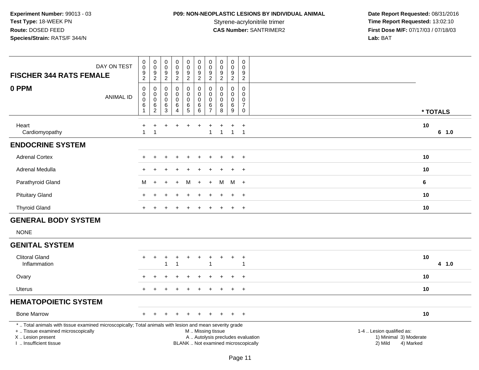# **P09: NON-NEOPLASTIC LESIONS BY INDIVIDUAL ANIMAL**

| DAY ON TEST<br><b>FISCHER 344 RATS FEMALE</b>                                                                                                                                                | $\pmb{0}$<br>$\overline{0}$<br>$\boldsymbol{9}$<br>$\overline{c}$ | $\pmb{0}$<br>$\pmb{0}$<br>$\boldsymbol{9}$<br>$\overline{c}$ | 0<br>$\mathsf{O}\xspace$<br>$\boldsymbol{9}$<br>$\overline{2}$ | $_{\rm 0}^{\rm 0}$<br>$\boldsymbol{9}$<br>$\overline{2}$           | $\begin{smallmatrix} 0\\0 \end{smallmatrix}$<br>$\frac{9}{2}$ | $\pmb{0}$<br>$\pmb{0}$<br>$\boldsymbol{9}$<br>$\overline{2}$                                  | 0<br>$\mathbf 0$<br>9<br>$\overline{2}$             | $_{\rm 0}^{\rm 0}$<br>$\boldsymbol{9}$<br>$\overline{2}$ | $_{\rm 0}^{\rm 0}$<br>9<br>$\overline{a}$                  | $\pmb{0}$<br>$\Omega$<br>9<br>$\overline{2}$                        |                                                                             |          |
|----------------------------------------------------------------------------------------------------------------------------------------------------------------------------------------------|-------------------------------------------------------------------|--------------------------------------------------------------|----------------------------------------------------------------|--------------------------------------------------------------------|---------------------------------------------------------------|-----------------------------------------------------------------------------------------------|-----------------------------------------------------|----------------------------------------------------------|------------------------------------------------------------|---------------------------------------------------------------------|-----------------------------------------------------------------------------|----------|
| 0 PPM<br><b>ANIMAL ID</b>                                                                                                                                                                    | $\pmb{0}$<br>$\pmb{0}$<br>$\mathbf 0$<br>$\,6\,$<br>$\mathbf{1}$  | 0<br>$\pmb{0}$<br>$\pmb{0}$<br>$\,6$<br>$\overline{c}$       | 0<br>0<br>$\mathbf 0$<br>$\,6$<br>3                            | $\pmb{0}$<br>$\mathbf 0$<br>$\mathbf 0$<br>$\,6$<br>$\overline{4}$ | 0<br>$\mathbf 0$<br>$\mathbf 0$<br>$\frac{6}{5}$              | $\mathbf 0$<br>$\mathbf 0$<br>$\mathbf 0$<br>$\,6\,$<br>6                                     | 0<br>$\mathbf 0$<br>$\Omega$<br>6<br>$\overline{7}$ | $\mathbf 0$<br>$\mathbf 0$<br>$\pmb{0}$<br>$\,6$<br>8    | $\mathbf 0$<br>$\mathbf 0$<br>$\mathbf 0$<br>$\frac{6}{9}$ | $\mathbf 0$<br>$\overline{0}$<br>0<br>$\boldsymbol{7}$<br>$\pmb{0}$ |                                                                             | * TOTALS |
| Heart<br>Cardiomyopathy                                                                                                                                                                      | $\ddot{}$<br>$\mathbf 1$                                          | $\div$<br>$\mathbf 1$                                        | $\div$                                                         | $\ddot{}$                                                          | +                                                             | $\ddot{}$                                                                                     | $\mathbf{1}$                                        | $\mathbf{1}$                                             | $\ddot{}$<br>$\mathbf{1}$                                  | $+$<br>$\overline{1}$                                               | 10                                                                          | 6 1.0    |
| <b>ENDOCRINE SYSTEM</b>                                                                                                                                                                      |                                                                   |                                                              |                                                                |                                                                    |                                                               |                                                                                               |                                                     |                                                          |                                                            |                                                                     |                                                                             |          |
| <b>Adrenal Cortex</b>                                                                                                                                                                        |                                                                   |                                                              |                                                                |                                                                    |                                                               |                                                                                               |                                                     |                                                          |                                                            | $\ddot{}$                                                           | 10                                                                          |          |
| Adrenal Medulla                                                                                                                                                                              |                                                                   |                                                              |                                                                |                                                                    |                                                               |                                                                                               |                                                     |                                                          | $\div$                                                     | $\overline{+}$                                                      | 10                                                                          |          |
| Parathyroid Gland                                                                                                                                                                            | M                                                                 | $+$                                                          | $\ddot{}$                                                      | $\ddot{}$                                                          | M                                                             | $+$                                                                                           | $\ddot{}$                                           | M                                                        | M +                                                        |                                                                     | 6                                                                           |          |
| <b>Pituitary Gland</b>                                                                                                                                                                       |                                                                   |                                                              |                                                                |                                                                    |                                                               | $\div$                                                                                        |                                                     |                                                          | $\ddot{}$                                                  | $+$                                                                 | 10                                                                          |          |
| <b>Thyroid Gland</b>                                                                                                                                                                         |                                                                   |                                                              |                                                                |                                                                    |                                                               |                                                                                               |                                                     |                                                          | $+$                                                        | $+$                                                                 | 10                                                                          |          |
| <b>GENERAL BODY SYSTEM</b>                                                                                                                                                                   |                                                                   |                                                              |                                                                |                                                                    |                                                               |                                                                                               |                                                     |                                                          |                                                            |                                                                     |                                                                             |          |
| <b>NONE</b>                                                                                                                                                                                  |                                                                   |                                                              |                                                                |                                                                    |                                                               |                                                                                               |                                                     |                                                          |                                                            |                                                                     |                                                                             |          |
| <b>GENITAL SYSTEM</b>                                                                                                                                                                        |                                                                   |                                                              |                                                                |                                                                    |                                                               |                                                                                               |                                                     |                                                          |                                                            |                                                                     |                                                                             |          |
| <b>Clitoral Gland</b><br>Inflammation                                                                                                                                                        | $+$                                                               | $\ddot{}$                                                    | $\ddot{}$<br>1                                                 | $\ddot{}$<br>-1                                                    | $\ddot{}$                                                     | $\ddot{}$                                                                                     | $\ddot{}$<br>1                                      | $\ddot{}$                                                | $\ddot{}$                                                  | $+$<br>$\mathbf 1$                                                  | 10                                                                          | 4 1.0    |
| Ovary                                                                                                                                                                                        | $\pm$                                                             | $\ddot{}$                                                    |                                                                | $\div$                                                             | $\ddot{}$                                                     | $\ddot{}$                                                                                     | $\pm$                                               |                                                          | $\overline{+}$                                             | $+$                                                                 | 10                                                                          |          |
| <b>Uterus</b>                                                                                                                                                                                |                                                                   |                                                              |                                                                |                                                                    |                                                               |                                                                                               |                                                     |                                                          | $\overline{+}$                                             | $\overline{+}$                                                      | 10                                                                          |          |
| <b>HEMATOPOIETIC SYSTEM</b>                                                                                                                                                                  |                                                                   |                                                              |                                                                |                                                                    |                                                               |                                                                                               |                                                     |                                                          |                                                            |                                                                     |                                                                             |          |
| <b>Bone Marrow</b>                                                                                                                                                                           |                                                                   |                                                              |                                                                |                                                                    |                                                               |                                                                                               |                                                     |                                                          | $\pm$                                                      | $+$                                                                 | 10                                                                          |          |
| *  Total animals with tissue examined microscopically; Total animals with lesion and mean severity grade<br>+  Tissue examined microscopically<br>X Lesion present<br>I. Insufficient tissue |                                                                   |                                                              |                                                                |                                                                    |                                                               | M  Missing tissue<br>A  Autolysis precludes evaluation<br>BLANK  Not examined microscopically |                                                     |                                                          |                                                            |                                                                     | 1-4  Lesion qualified as:<br>1) Minimal 3) Moderate<br>2) Mild<br>4) Marked |          |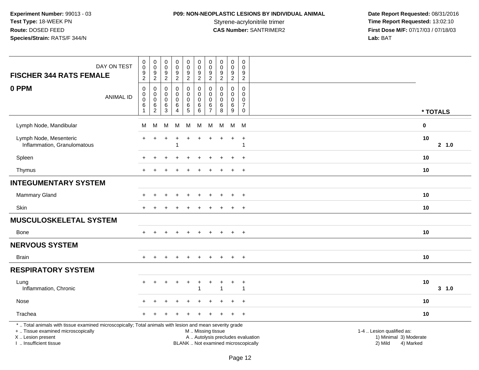# **P09: NON-NEOPLASTIC LESIONS BY INDIVIDUAL ANIMAL**

| DAY ON TEST<br><b>FISCHER 344 RATS FEMALE</b>                                                                                                                                                 | $\pmb{0}$<br>$\mathsf 0$<br>$\boldsymbol{9}$<br>$\sqrt{2}$ | $\overline{0}$<br>$\mathbf 0$<br>$9\,$<br>$\sqrt{2}$              | $\begin{smallmatrix}0\\0\end{smallmatrix}$<br>$\boldsymbol{9}$<br>$\overline{c}$ | 0<br>0<br>9<br>$\overline{a}$                          | $\pmb{0}$<br>$\frac{0}{9}$<br>$\overline{2}$ | $\pmb{0}$<br>$\pmb{0}$<br>9<br>$\overline{2}$                     | $\pmb{0}$<br>$\mathbf 0$<br>9<br>$\boldsymbol{2}$    | $\mathbf 0$<br>$\mathbf 0$<br>9<br>$\overline{c}$ | $\pmb{0}$<br>$\pmb{0}$<br>$\boldsymbol{9}$<br>$\overline{2}$ | $\pmb{0}$<br>0<br>9<br>$\overline{c}$                                   |                                                                                                                  |  |
|-----------------------------------------------------------------------------------------------------------------------------------------------------------------------------------------------|------------------------------------------------------------|-------------------------------------------------------------------|----------------------------------------------------------------------------------|--------------------------------------------------------|----------------------------------------------|-------------------------------------------------------------------|------------------------------------------------------|---------------------------------------------------|--------------------------------------------------------------|-------------------------------------------------------------------------|------------------------------------------------------------------------------------------------------------------|--|
| 0 PPM<br><b>ANIMAL ID</b>                                                                                                                                                                     | $\mathbf 0$<br>$\mathbf 0$<br>$\mathbf 0$<br>6<br>1        | $\mathbf 0$<br>$\pmb{0}$<br>$\overline{0}$<br>6<br>$\overline{2}$ | $\mathbf 0$<br>$\mathbf 0$<br>$\mathbf 0$<br>6<br>3                              | $\mathbf 0$<br>$\mathbf 0$<br>0<br>6<br>$\overline{A}$ | $\mathbf 0$<br>0<br>0<br>$^6$ 5              | $\mathbf 0$<br>$\mathbf 0$<br>$\mathbf 0$<br>6<br>$6\phantom{1}6$ | $\Omega$<br>0<br>$\mathbf{0}$<br>6<br>$\overline{7}$ | $\Omega$<br>$\Omega$<br>$\Omega$<br>6<br>8        | $\Omega$<br>$\mathbf 0$<br>$\mathbf 0$<br>$\,6\,$<br>9       | $\Omega$<br>0<br>$\mathbf 0$<br>$\boldsymbol{7}$<br>$\mathsf{O}\xspace$ | * TOTALS                                                                                                         |  |
| Lymph Node, Mandibular                                                                                                                                                                        | м                                                          | M                                                                 | M                                                                                | м                                                      | M                                            | М                                                                 | M                                                    | M                                                 | M                                                            | M                                                                       | $\pmb{0}$                                                                                                        |  |
| Lymph Node, Mesenteric<br>Inflammation, Granulomatous                                                                                                                                         | $\ddot{}$                                                  | $\div$                                                            |                                                                                  | $\ddot{}$<br>$\overline{\mathbf{1}}$                   | $\ddot{}$                                    |                                                                   |                                                      |                                                   | $\ddot{}$                                                    | $\ddot{}$                                                               | 10<br>2 1.0                                                                                                      |  |
| Spleen                                                                                                                                                                                        |                                                            |                                                                   |                                                                                  |                                                        |                                              |                                                                   |                                                      |                                                   |                                                              | $\ddot{}$                                                               | 10                                                                                                               |  |
| Thymus                                                                                                                                                                                        |                                                            |                                                                   |                                                                                  |                                                        |                                              |                                                                   |                                                      |                                                   | $\div$                                                       | $+$                                                                     | 10                                                                                                               |  |
| <b>INTEGUMENTARY SYSTEM</b>                                                                                                                                                                   |                                                            |                                                                   |                                                                                  |                                                        |                                              |                                                                   |                                                      |                                                   |                                                              |                                                                         |                                                                                                                  |  |
| Mammary Gland                                                                                                                                                                                 |                                                            |                                                                   |                                                                                  |                                                        |                                              |                                                                   |                                                      |                                                   |                                                              | $\overline{+}$                                                          | 10                                                                                                               |  |
| <b>Skin</b>                                                                                                                                                                                   |                                                            |                                                                   |                                                                                  |                                                        |                                              |                                                                   |                                                      |                                                   | $\ddot{}$                                                    | $\ddot{}$                                                               | 10                                                                                                               |  |
| <b>MUSCULOSKELETAL SYSTEM</b>                                                                                                                                                                 |                                                            |                                                                   |                                                                                  |                                                        |                                              |                                                                   |                                                      |                                                   |                                                              |                                                                         |                                                                                                                  |  |
| <b>Bone</b>                                                                                                                                                                                   | $+$                                                        |                                                                   |                                                                                  | $\ddot{}$                                              | $\ddot{}$                                    | $\ddot{}$                                                         | $\pm$                                                | $\pm$                                             | $+$                                                          | $+$                                                                     | 10                                                                                                               |  |
| <b>NERVOUS SYSTEM</b>                                                                                                                                                                         |                                                            |                                                                   |                                                                                  |                                                        |                                              |                                                                   |                                                      |                                                   |                                                              |                                                                         |                                                                                                                  |  |
| <b>Brain</b>                                                                                                                                                                                  |                                                            |                                                                   |                                                                                  |                                                        |                                              |                                                                   |                                                      |                                                   |                                                              | $+$                                                                     | 10                                                                                                               |  |
| <b>RESPIRATORY SYSTEM</b>                                                                                                                                                                     |                                                            |                                                                   |                                                                                  |                                                        |                                              |                                                                   |                                                      |                                                   |                                                              |                                                                         |                                                                                                                  |  |
| Lung<br>Inflammation, Chronic                                                                                                                                                                 |                                                            |                                                                   |                                                                                  |                                                        | $\ddot{}$                                    |                                                                   |                                                      |                                                   |                                                              | $\ddot{}$<br>$\mathbf 1$                                                | 10<br>$3 - 1.0$                                                                                                  |  |
| Nose                                                                                                                                                                                          |                                                            |                                                                   |                                                                                  |                                                        |                                              |                                                                   |                                                      |                                                   |                                                              | $\pm$                                                                   | 10                                                                                                               |  |
| Trachea                                                                                                                                                                                       |                                                            |                                                                   |                                                                                  |                                                        |                                              |                                                                   |                                                      |                                                   | $\pm$                                                        | $+$                                                                     | 10                                                                                                               |  |
| *  Total animals with tissue examined microscopically; Total animals with lesion and mean severity grade<br>+  Tissue examined microscopically<br>X  Lesion present<br>I. Insufficient tissue |                                                            |                                                                   |                                                                                  |                                                        |                                              | M  Missing tissue<br>BLANK  Not examined microscopically          |                                                      |                                                   |                                                              |                                                                         | 1-4  Lesion qualified as:<br>A  Autolysis precludes evaluation<br>1) Minimal 3) Moderate<br>2) Mild<br>4) Marked |  |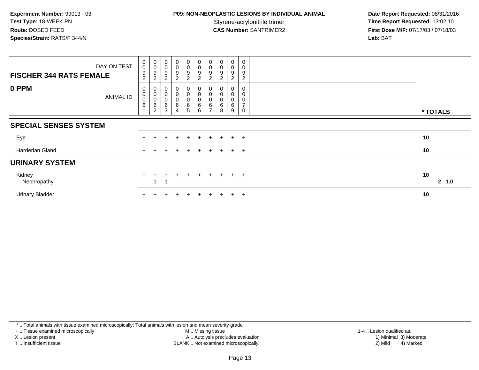## **P09: NON-NEOPLASTIC LESIONS BY INDIVIDUAL ANIMAL**

 **Date Report Requested:** 08/31/2016 Styrene-acrylonitrile trimer<br>
CAS Number: SANTRIMER2<br> **CAS Number:** SANTRIMER2<br> **Time Report Requested:** 13:02:10 **First Dose M/F:** 07/17/03 / 07/18/03<br>Lab: BAT **Lab:** BAT

| <b>FISCHER 344 RATS FEMALE</b> | DAY ON TEST      | $_{\rm 0}^{\rm 0}$<br>$\boldsymbol{9}$<br>$\boldsymbol{2}$ | $\begin{smallmatrix}0\\0\end{smallmatrix}$<br>$\boldsymbol{9}$<br>$\boldsymbol{2}$ | $\begin{smallmatrix}0\\0\\9\end{smallmatrix}$<br>$\sqrt{2}$         | $\begin{smallmatrix}0\0\0\9\end{smallmatrix}$<br>$\overline{2}$  | $\begin{smallmatrix}0\0\0\end{smallmatrix}$<br>9<br>$\overline{c}$ | $_{\rm 0}^{\rm 0}$<br>9<br>$\overline{c}$     | $\begin{smallmatrix}0\0\0\end{smallmatrix}$<br>$\boldsymbol{9}$<br>$\boldsymbol{2}$ | $\begin{smallmatrix} 0\\0 \end{smallmatrix}$<br>9<br>$\overline{c}$ | $\begin{smallmatrix} 0\\0 \end{smallmatrix}$<br>$\boldsymbol{9}$<br>$\overline{c}$ | 0<br>0<br>9<br>$\overline{c}$      |    |          |
|--------------------------------|------------------|------------------------------------------------------------|------------------------------------------------------------------------------------|---------------------------------------------------------------------|------------------------------------------------------------------|--------------------------------------------------------------------|-----------------------------------------------|-------------------------------------------------------------------------------------|---------------------------------------------------------------------|------------------------------------------------------------------------------------|------------------------------------|----|----------|
| 0 PPM                          | <b>ANIMAL ID</b> | 0<br>$\mathsf{O}\xspace$<br>0<br>$\,6$                     | $_{\rm 0}^{\rm 0}$<br>$\mathbf 0$<br>$\,6\,$<br>$\overline{2}$                     | $\begin{smallmatrix} 0\\0 \end{smallmatrix}$<br>$\pmb{0}$<br>$^6_3$ | $_{\rm 0}^{\rm 0}$<br>$\begin{array}{c} 0 \\ 6 \\ 4 \end{array}$ | $_0^0$<br>0<br>6<br>5                                              | $\pmb{0}$<br>$\boldsymbol{0}$<br>$\,6\,$<br>6 | $\begin{smallmatrix}0\\0\end{smallmatrix}$<br>$\pmb{0}$<br>$\frac{6}{7}$            | 0<br>6<br>8                                                         | 0<br>$\pmb{0}$<br>0<br>$\,6$<br>9                                                  | 0<br>0<br>0<br>$\overline{ }$<br>0 |    | * TOTALS |
| <b>SPECIAL SENSES SYSTEM</b>   |                  |                                                            |                                                                                    |                                                                     |                                                                  |                                                                    |                                               |                                                                                     |                                                                     |                                                                                    |                                    |    |          |
| Eye                            |                  |                                                            |                                                                                    |                                                                     | $+$                                                              | $\ddot{}$                                                          | $+$                                           | $+$                                                                                 | $+$                                                                 |                                                                                    | $+$ $+$                            | 10 |          |
| Harderian Gland                |                  |                                                            |                                                                                    |                                                                     |                                                                  |                                                                    |                                               |                                                                                     | $+$                                                                 |                                                                                    | $+$ $+$                            | 10 |          |
| <b>URINARY SYSTEM</b>          |                  |                                                            |                                                                                    |                                                                     |                                                                  |                                                                    |                                               |                                                                                     |                                                                     |                                                                                    |                                    |    |          |
| Kidney<br>Nephropathy          |                  | $+$                                                        |                                                                                    |                                                                     |                                                                  | $\div$                                                             | $+$                                           | $+$                                                                                 | $+$                                                                 |                                                                                    | $+$ $+$                            | 10 | 2, 1.0   |
| <b>Urinary Bladder</b>         |                  |                                                            |                                                                                    |                                                                     |                                                                  | $\ddot{}$                                                          |                                               | $+$                                                                                 | $+$                                                                 | $+$                                                                                | $+$                                | 10 |          |

\* .. Total animals with tissue examined microscopically; Total animals with lesion and mean severity grade

+ .. Tissue examined microscopically

X .. Lesion present

I .. Insufficient tissue

M .. Missing tissue

Lesion present A .. Autolysis precludes evaluation 1) Minimal 3) Moderate

1-4 .. Lesion qualified as:<br>1) Minimal 3) Moderate BLANK .. Not examined microscopically 2) Mild 4) Marked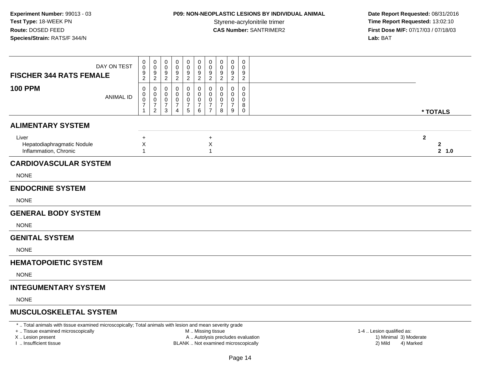## **P09: NON-NEOPLASTIC LESIONS BY INDIVIDUAL ANIMAL**

 **Date Report Requested:** 08/31/2016 Styrene-acrylonitrile trimer<br>
CAS Number: SANTRIMER2<br> **CAS Number:** SANTRIMER2<br> **Time Report Requested:** 13:02:10 **First Dose M/F:** 07/17/03 / 07/18/03<br>**Lab:** BAT **Lab:** BAT

| DAY ON TEST<br><b>FISCHER 344 RATS FEMALE</b>                                                                     | 0<br>0<br>$\frac{9}{2}$          | 0<br>0<br>$\frac{9}{2}$                         | 0<br>$\mathbf 0$<br>$\frac{9}{2}$            | $\Omega$<br>$\Omega$<br>9<br>$\boldsymbol{2}$ | 0<br>$\Omega$<br>9<br>$\sqrt{2}$                  | 0<br>$\mathsf 0$<br>9<br>$\overline{2}$                 | 0<br>$\mathbf 0$<br>$\frac{9}{2}$               | $\Omega$<br>$\Omega$<br>9<br>$\overline{2}$ | 0<br>0<br>$\frac{9}{2}$            | $\mathbf 0$<br>0<br>9<br>$\overline{2}$   |                |                       |
|-------------------------------------------------------------------------------------------------------------------|----------------------------------|-------------------------------------------------|----------------------------------------------|-----------------------------------------------|---------------------------------------------------|---------------------------------------------------------|-------------------------------------------------|---------------------------------------------|------------------------------------|-------------------------------------------|----------------|-----------------------|
| <b>100 PPM</b><br><b>ANIMAL ID</b>                                                                                | 0<br>0<br>0<br>$\overline{7}$    | 0<br>0<br>0<br>$\overline{7}$<br>$\overline{2}$ | 0<br>0<br>$\mathbf 0$<br>$\overline{7}$<br>3 | 0<br>0<br>0<br>$\overline{7}$<br>4            | 0<br>0<br>0<br>$\boldsymbol{7}$<br>$\overline{5}$ | $\mathbf{0}$<br>0<br>$\mathbf 0$<br>$\overline{7}$<br>6 | 0<br>0<br>0<br>$\overline{7}$<br>$\overline{7}$ | 0<br>0<br>0<br>$\overline{7}$<br>8          | 0<br>0<br>0<br>$\overline{7}$<br>9 | $\mathbf 0$<br>0<br>0<br>8<br>$\mathbf 0$ |                | * TOTALS              |
| <b>ALIMENTARY SYSTEM</b>                                                                                          |                                  |                                                 |                                              |                                               |                                                   |                                                         |                                                 |                                             |                                    |                                           |                |                       |
| Liver<br>Hepatodiaphragmatic Nodule<br>Inflammation, Chronic                                                      | $\ddot{}$<br>X<br>$\overline{1}$ |                                                 |                                              |                                               |                                                   |                                                         | $\ddot{}$<br>$\pmb{\times}$<br>1                |                                             |                                    |                                           | $\overline{2}$ | $\mathbf{2}$<br>2 1.0 |
| <b>CARDIOVASCULAR SYSTEM</b>                                                                                      |                                  |                                                 |                                              |                                               |                                                   |                                                         |                                                 |                                             |                                    |                                           |                |                       |
| <b>NONE</b>                                                                                                       |                                  |                                                 |                                              |                                               |                                                   |                                                         |                                                 |                                             |                                    |                                           |                |                       |
| <b>ENDOCRINE SYSTEM</b>                                                                                           |                                  |                                                 |                                              |                                               |                                                   |                                                         |                                                 |                                             |                                    |                                           |                |                       |
| <b>NONE</b>                                                                                                       |                                  |                                                 |                                              |                                               |                                                   |                                                         |                                                 |                                             |                                    |                                           |                |                       |
| <b>GENERAL BODY SYSTEM</b>                                                                                        |                                  |                                                 |                                              |                                               |                                                   |                                                         |                                                 |                                             |                                    |                                           |                |                       |
| <b>NONE</b>                                                                                                       |                                  |                                                 |                                              |                                               |                                                   |                                                         |                                                 |                                             |                                    |                                           |                |                       |
| <b>GENITAL SYSTEM</b>                                                                                             |                                  |                                                 |                                              |                                               |                                                   |                                                         |                                                 |                                             |                                    |                                           |                |                       |
| <b>NONE</b>                                                                                                       |                                  |                                                 |                                              |                                               |                                                   |                                                         |                                                 |                                             |                                    |                                           |                |                       |
| <b>HEMATOPOIETIC SYSTEM</b>                                                                                       |                                  |                                                 |                                              |                                               |                                                   |                                                         |                                                 |                                             |                                    |                                           |                |                       |
| <b>NONE</b>                                                                                                       |                                  |                                                 |                                              |                                               |                                                   |                                                         |                                                 |                                             |                                    |                                           |                |                       |
| <b>INTEGUMENTARY SYSTEM</b>                                                                                       |                                  |                                                 |                                              |                                               |                                                   |                                                         |                                                 |                                             |                                    |                                           |                |                       |
| <b>NONE</b>                                                                                                       |                                  |                                                 |                                              |                                               |                                                   |                                                         |                                                 |                                             |                                    |                                           |                |                       |
| <b>MUSCULOSKELETAL SYSTEM</b>                                                                                     |                                  |                                                 |                                              |                                               |                                                   |                                                         |                                                 |                                             |                                    |                                           |                |                       |
| * Tetal sistered with theme emerges at advancement with Tetal sistered with leaders and account complete supplier |                                  |                                                 |                                              |                                               |                                                   |                                                         |                                                 |                                             |                                    |                                           |                |                       |

\* .. Total animals with tissue examined microscopically; Total animals with lesion and mean severity grade

+ .. Tissue examined microscopically

X .. Lesion present

I .. Insufficient tissue

M .. Missing tissue

A .. Autolysis precludes evaluation

BLANK .. Not examined microscopically 2) Mild 4) Marked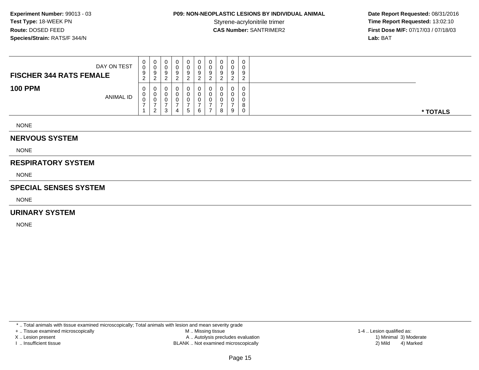## **P09: NON-NEOPLASTIC LESIONS BY INDIVIDUAL ANIMAL**

 **Date Report Requested:** 08/31/2016 Styrene-acrylonitrile trimer<br>
CAS Number: SANTRIMER2<br> **CAS Number:** SANTRIMER2<br> **Time Report Requested:** 13:02:10 **First Dose M/F:** 07/17/03 / 07/18/03<br>**Lab:** BAT **Lab:** BAT

| DAY ON TEST<br><b>FISCHER 344 RATS FEMALE</b> | 0<br>0<br>9<br>ົ<br>$\epsilon$ | U<br>ັບ<br>9<br>ົ<br><u>_</u> | 0<br>0<br>9<br><sup>o</sup> | 0 | 0<br>v<br>a | υ<br>U<br>9 | 9 | ◡<br>ν<br>a | 0<br>0<br>9<br>ົ           | $\cap$<br>9   |          |
|-----------------------------------------------|--------------------------------|-------------------------------|-----------------------------|---|-------------|-------------|---|-------------|----------------------------|---------------|----------|
| <b>100 PPM</b><br><b>ANIMAL ID</b>            | 0<br>U<br>v                    | U<br>v<br>v<br>າ<br><u>_</u>  | 0<br>0<br>0<br>ົ<br>J.      | 4 | 5           | O<br>6      | 0 | ν<br>8      | $\mathbf 0$<br>0<br>0<br>9 | $\Omega$<br>0 | * TOTALS |

NONE

#### **NERVOUS SYSTEM**

NONE

#### **RESPIRATORY SYSTEM**

NONE

#### **SPECIAL SENSES SYSTEM**

NONE

#### **URINARY SYSTEM**

NONE

\* .. Total animals with tissue examined microscopically; Total animals with lesion and mean severity grade

+ .. Tissue examined microscopically

X .. Lesion present

I .. Insufficient tissue

 M .. Missing tissueA .. Autolysis precludes evaluation

BLANK .. Not examined microscopically 2) Mild 4) Marked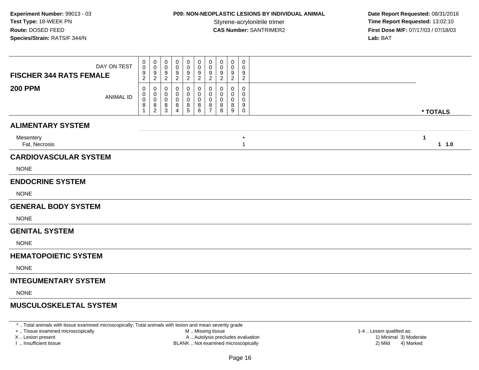## **P09: NON-NEOPLASTIC LESIONS BY INDIVIDUAL ANIMAL**

 **Date Report Requested:** 08/31/2016 Styrene-acrylonitrile trimer<br>
CAS Number: SANTRIMER2<br> **CAS Number:** SANTRIMER2<br> **Time Report Requested:** 13:02:10 **First Dose M/F:** 07/17/03 / 07/18/03<br>**Lab:** BAT **Lab:** BAT

| <b>FISCHER 344 RATS FEMALE</b> | DAY ON TEST      | 0<br>$\mathbf 0$<br>9<br>$\overline{c}$ | 0<br>0<br>$\frac{9}{2}$                      | 0<br>0<br>9<br>$\overline{c}$  | 0<br>0<br>9<br>$\overline{c}$      | 0<br>$\mathbf 0$<br>$9\,$<br>$\overline{2}$          | 0<br>$\pmb{0}$<br>$\boldsymbol{9}$<br>$\boldsymbol{2}$ | 0<br>0<br>9<br>$\overline{2}$                          | 0<br>0<br>9<br>$\overline{c}$ | 0<br>$\mathbf 0$<br>9<br>$\overline{2}$ | $\mathbf 0$<br>$\Omega$<br>9<br>$\overline{2}$ |                        |  |
|--------------------------------|------------------|-----------------------------------------|----------------------------------------------|--------------------------------|------------------------------------|------------------------------------------------------|--------------------------------------------------------|--------------------------------------------------------|-------------------------------|-----------------------------------------|------------------------------------------------|------------------------|--|
| <b>200 PPM</b>                 | <b>ANIMAL ID</b> | 0<br>0<br>$\mathbf 0$<br>8              | 0<br>$\pmb{0}$<br>$\pmb{0}$<br>$\frac{8}{2}$ | 0<br>0<br>0<br>8<br>$\sqrt{3}$ | 0<br>0<br>0<br>8<br>$\overline{4}$ | 0<br>$\mathbf 0$<br>$\pmb{0}$<br>8<br>$\overline{5}$ | 0<br>$\pmb{0}$<br>$\mathbf 0$<br>$^8_6$                | 0<br>$\mathbf 0$<br>$\mathbf 0$<br>8<br>$\overline{7}$ | 0<br>0<br>0<br>8<br>8         | 0<br>0<br>0<br>8<br>9                   | $\mathbf 0$<br>0<br>0<br>9<br>$\mathbf 0$      | * TOTALS               |  |
| <b>ALIMENTARY SYSTEM</b>       |                  |                                         |                                              |                                |                                    |                                                      |                                                        |                                                        |                               |                                         |                                                |                        |  |
| Mesentery<br>Fat, Necrosis     |                  |                                         |                                              |                                |                                    |                                                      |                                                        |                                                        |                               |                                         | $\ddot{}$<br>$\mathbf{1}$                      | $\mathbf 1$<br>$1 1.0$ |  |
| <b>CARDIOVASCULAR SYSTEM</b>   |                  |                                         |                                              |                                |                                    |                                                      |                                                        |                                                        |                               |                                         |                                                |                        |  |
| <b>NONE</b>                    |                  |                                         |                                              |                                |                                    |                                                      |                                                        |                                                        |                               |                                         |                                                |                        |  |
| <b>ENDOCRINE SYSTEM</b>        |                  |                                         |                                              |                                |                                    |                                                      |                                                        |                                                        |                               |                                         |                                                |                        |  |
| <b>NONE</b>                    |                  |                                         |                                              |                                |                                    |                                                      |                                                        |                                                        |                               |                                         |                                                |                        |  |
| <b>GENERAL BODY SYSTEM</b>     |                  |                                         |                                              |                                |                                    |                                                      |                                                        |                                                        |                               |                                         |                                                |                        |  |
| <b>NONE</b>                    |                  |                                         |                                              |                                |                                    |                                                      |                                                        |                                                        |                               |                                         |                                                |                        |  |
| <b>GENITAL SYSTEM</b>          |                  |                                         |                                              |                                |                                    |                                                      |                                                        |                                                        |                               |                                         |                                                |                        |  |
| <b>NONE</b>                    |                  |                                         |                                              |                                |                                    |                                                      |                                                        |                                                        |                               |                                         |                                                |                        |  |
| <b>HEMATOPOIETIC SYSTEM</b>    |                  |                                         |                                              |                                |                                    |                                                      |                                                        |                                                        |                               |                                         |                                                |                        |  |
| <b>NONE</b>                    |                  |                                         |                                              |                                |                                    |                                                      |                                                        |                                                        |                               |                                         |                                                |                        |  |
| <b>INTEGUMENTARY SYSTEM</b>    |                  |                                         |                                              |                                |                                    |                                                      |                                                        |                                                        |                               |                                         |                                                |                        |  |
| <b>NONE</b>                    |                  |                                         |                                              |                                |                                    |                                                      |                                                        |                                                        |                               |                                         |                                                |                        |  |
| <b>MUSCULOSKELETAL SYSTEM</b>  |                  |                                         |                                              |                                |                                    |                                                      |                                                        |                                                        |                               |                                         |                                                |                        |  |
|                                |                  |                                         |                                              |                                |                                    |                                                      |                                                        |                                                        |                               |                                         |                                                |                        |  |

\* .. Total animals with tissue examined microscopically; Total animals with lesion and mean severity grade

+ .. Tissue examined microscopically

X .. Lesion present

I .. Insufficient tissue

M .. Missing tissue

A .. Autolysis precludes evaluation

BLANK .. Not examined microscopically 2) Mild 4) Marked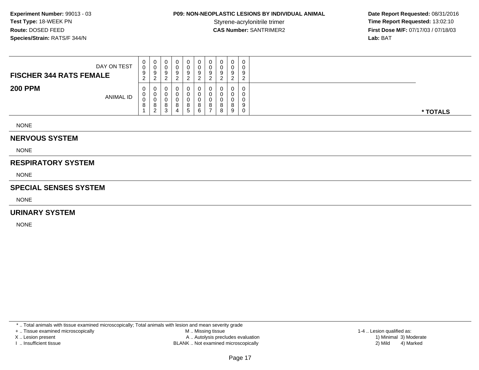## **P09: NON-NEOPLASTIC LESIONS BY INDIVIDUAL ANIMAL**

 **Date Report Requested:** 08/31/2016 Styrene-acrylonitrile trimer<br>
CAS Number: SANTRIMER2<br> **CAS Number:** SANTRIMER2<br> **Time Report Requested:** 13:02:10 **First Dose M/F:** 07/17/03 / 07/18/03<br>**Lab:** BAT **Lab:** BAT

| DAY ON TEST<br><b>FISCHER 344 RATS FEMALE</b> | $\mathbf{0}$<br>0<br>9<br>ົ<br>$\epsilon$ | 0<br>◡<br>9<br>ົ<br><u>_</u>       | v<br>9      |  | 0<br>ν<br>9<br>ົ            | 9           | 0<br>0<br>9<br>ົາ      | 0<br>0<br>9<br>ົ      |               |  |
|-----------------------------------------------|-------------------------------------------|------------------------------------|-------------|--|-----------------------------|-------------|------------------------|-----------------------|---------------|--|
| <b>200 PPM</b><br><b>ANIMAL ID</b>            | $\mathbf{0}$<br>0<br>0<br>$\circ$         | 0<br>U<br>U<br>8<br>$\overline{2}$ | 8<br>⌒<br>ت |  | 0<br>υ<br>8<br><sub>5</sub> | Ω<br>O<br>6 | 0<br>-C<br>0<br>്<br>- | 0<br>0<br>0<br>8<br>8 | $\Omega$<br>9 |  |

NONE

#### **NERVOUS SYSTEM**

NONE

#### **RESPIRATORY SYSTEM**

NONE

#### **SPECIAL SENSES SYSTEM**

NONE

#### **URINARY SYSTEM**

NONE

\* .. Total animals with tissue examined microscopically; Total animals with lesion and mean severity grade

+ .. Tissue examined microscopically

X .. Lesion present

I .. Insufficient tissue

 M .. Missing tissueA .. Autolysis precludes evaluation

BLANK .. Not examined microscopically 2) Mild 4) Marked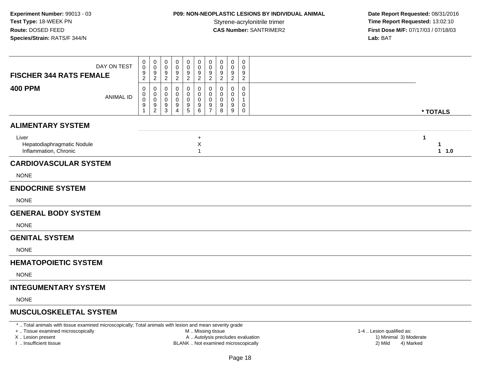## **P09: NON-NEOPLASTIC LESIONS BY INDIVIDUAL ANIMAL**

 **Date Report Requested:** 08/31/2016 Styrene-acrylonitrile trimer<br>
CAS Number: SANTRIMER2<br> **CAS Number:** SANTRIMER2<br> **Time Report Requested:** 13:02:10 **First Dose M/F:** 07/17/03 / 07/18/03<br>**Lab:** BAT **Lab:** BAT

| * TOTALS                   |
|----------------------------|
|                            |
| $\mathbf{1}$<br>1<br>1 1.0 |
|                            |
|                            |
|                            |
|                            |
|                            |
|                            |
|                            |
|                            |
|                            |
|                            |
|                            |
|                            |
|                            |

\* .. Total animals with tissue examined microscopically; Total animals with lesion and mean severity grade

+ .. Tissue examined microscopically

X .. Lesion present

I .. Insufficient tissue

M .. Missing tissue

A .. Autolysis precludes evaluation

BLANK .. Not examined microscopically 2) Mild 4) Marked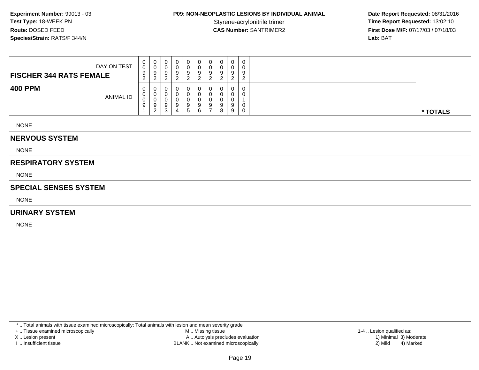## **P09: NON-NEOPLASTIC LESIONS BY INDIVIDUAL ANIMAL**

 **Date Report Requested:** 08/31/2016 Styrene-acrylonitrile trimer<br>
CAS Number: SANTRIMER2<br> **CAS Number:** SANTRIMER2<br> **Time Report Requested:** 13:02:10 **First Dose M/F:** 07/17/03 / 07/18/03<br>**Lab:** BAT **Lab:** BAT

| DAY ON TEST<br><b>FISCHER 344 RATS FEMALE</b> | 0<br>0<br>9<br>ົ<br>$\epsilon$ | U<br>ັບ<br>9<br>ົ<br><u>_</u>     | 0<br>0<br>9<br><sup>o</sup>     | 0 | 0<br>v<br>a       | υ<br>U<br>9 | 9      | ◡<br>v<br>a | 0<br>0<br>9<br>ົ                | $\cap$<br>9 |          |
|-----------------------------------------------|--------------------------------|-----------------------------------|---------------------------------|---|-------------------|-------------|--------|-------------|---------------------------------|-------------|----------|
| <b>400 PPM</b><br><b>ANIMAL ID</b>            | 0<br>U<br>0<br>9               | U<br>v<br>◡<br>9<br>ົ<br><u>_</u> | 0<br>0<br>0<br>9<br>$\sim$<br>P | 4 | a<br><sub>5</sub> | O<br>9      | 0<br>9 | 9<br>8      | $\mathbf 0$<br>0<br>0<br>9<br>9 | $\Omega$    | * TOTALS |

NONE

#### **NERVOUS SYSTEM**

NONE

#### **RESPIRATORY SYSTEM**

NONE

#### **SPECIAL SENSES SYSTEM**

NONE

#### **URINARY SYSTEM**

NONE

\* .. Total animals with tissue examined microscopically; Total animals with lesion and mean severity grade

+ .. Tissue examined microscopically

X .. Lesion present

I .. Insufficient tissue

 M .. Missing tissueA .. Autolysis precludes evaluation

BLANK .. Not examined microscopically 2) Mild 4) Marked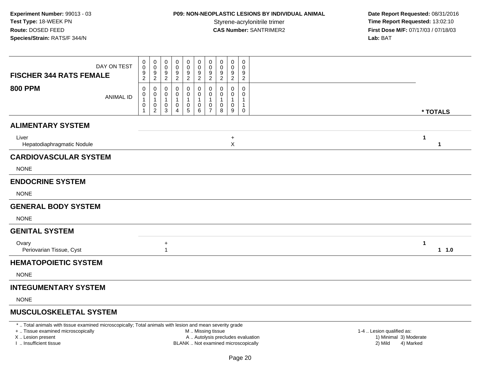## **P09: NON-NEOPLASTIC LESIONS BY INDIVIDUAL ANIMAL**

 **Date Report Requested:** 08/31/2016 Styrene-acrylonitrile trimer<br>
CAS Number: SANTRIMER2<br> **CAS Number:** SANTRIMER2<br> **Time Report Requested:** 13:02:10 **First Dose M/F:** 07/17/03 / 07/18/03<br>**Lab:** BAT **Lab:** BAT

| DAY ON TEST<br><b>FISCHER 344 RATS FEMALE</b> | 0<br>$\pmb{0}$<br>$\frac{9}{2}$                     | 0<br>$\pmb{0}$<br>$\frac{9}{2}$                           | 0<br>0<br>9<br>$\overline{c}$ | 0<br>0<br>$\frac{9}{2}$          | 0<br>$\pmb{0}$<br>$\frac{9}{2}$                                         | 0<br>0<br>$\frac{9}{2}$                              | 0<br>$\pmb{0}$<br>$\frac{9}{2}$         | 0<br>0<br>$\frac{9}{2}$ | $\pmb{0}$<br>$\pmb{0}$<br>$\frac{9}{2}$ | $\pmb{0}$<br>0<br>9<br>$\overline{c}$               |  |           |
|-----------------------------------------------|-----------------------------------------------------|-----------------------------------------------------------|-------------------------------|----------------------------------|-------------------------------------------------------------------------|------------------------------------------------------|-----------------------------------------|-------------------------|-----------------------------------------|-----------------------------------------------------|--|-----------|
| <b>800 PPM</b><br><b>ANIMAL ID</b>            | 0<br>$\pmb{0}$<br>$\mathbf{1}$<br>0<br>$\mathbf{1}$ | 0<br>$\pmb{0}$<br>$\mathbf{1}$<br>$\pmb{0}$<br>$\sqrt{2}$ | 0<br>0<br>1<br>0<br>3         | 0<br>0<br>$\mathbf{1}$<br>0<br>4 | 0<br>$\pmb{0}$<br>$\mathbf{1}$<br>$\begin{array}{c} 0 \\ 5 \end{array}$ | 0<br>0<br>1<br>$\begin{array}{c} 0 \\ 6 \end{array}$ | 0<br>0<br>$\mathbf{1}$<br>$\frac{0}{7}$ | 0<br>0<br>-1<br>0<br>8  | 0<br>0<br>$\mathbf{1}$<br>0<br>9        | 0<br>0<br>$\mathbf{1}$<br>$\mathbf{1}$<br>$\pmb{0}$ |  | * TOTALS  |
| <b>ALIMENTARY SYSTEM</b>                      |                                                     |                                                           |                               |                                  |                                                                         |                                                      |                                         |                         |                                         |                                                     |  |           |
| Liver<br>Hepatodiaphragmatic Nodule           |                                                     |                                                           |                               |                                  |                                                                         |                                                      |                                         |                         | $\ddot{}$<br>$\pmb{\times}$             |                                                     |  | 1<br>1    |
| <b>CARDIOVASCULAR SYSTEM</b>                  |                                                     |                                                           |                               |                                  |                                                                         |                                                      |                                         |                         |                                         |                                                     |  |           |
| <b>NONE</b>                                   |                                                     |                                                           |                               |                                  |                                                                         |                                                      |                                         |                         |                                         |                                                     |  |           |
| <b>ENDOCRINE SYSTEM</b>                       |                                                     |                                                           |                               |                                  |                                                                         |                                                      |                                         |                         |                                         |                                                     |  |           |
| <b>NONE</b>                                   |                                                     |                                                           |                               |                                  |                                                                         |                                                      |                                         |                         |                                         |                                                     |  |           |
| <b>GENERAL BODY SYSTEM</b>                    |                                                     |                                                           |                               |                                  |                                                                         |                                                      |                                         |                         |                                         |                                                     |  |           |
| <b>NONE</b>                                   |                                                     |                                                           |                               |                                  |                                                                         |                                                      |                                         |                         |                                         |                                                     |  |           |
| <b>GENITAL SYSTEM</b>                         |                                                     |                                                           |                               |                                  |                                                                         |                                                      |                                         |                         |                                         |                                                     |  |           |
| Ovary<br>Periovarian Tissue, Cyst             |                                                     |                                                           | $\ddot{}$<br>$\mathbf{1}$     |                                  |                                                                         |                                                      |                                         |                         |                                         |                                                     |  | 1<br>11.0 |
| <b>HEMATOPOIETIC SYSTEM</b>                   |                                                     |                                                           |                               |                                  |                                                                         |                                                      |                                         |                         |                                         |                                                     |  |           |
| <b>NONE</b>                                   |                                                     |                                                           |                               |                                  |                                                                         |                                                      |                                         |                         |                                         |                                                     |  |           |
| <b>INTEGUMENTARY SYSTEM</b>                   |                                                     |                                                           |                               |                                  |                                                                         |                                                      |                                         |                         |                                         |                                                     |  |           |
| <b>NONE</b>                                   |                                                     |                                                           |                               |                                  |                                                                         |                                                      |                                         |                         |                                         |                                                     |  |           |
| <b>MUSCULOSKELETAL SYSTEM</b>                 |                                                     |                                                           |                               |                                  |                                                                         |                                                      |                                         |                         |                                         |                                                     |  |           |

\* .. Total animals with tissue examined microscopically; Total animals with lesion and mean severity grade

+ .. Tissue examined microscopically

X .. Lesion present

I .. Insufficient tissue

M .. Missing tissue

- A .. Autolysis precludes evaluation
- BLANK .. Not examined microscopically 2) Mild 4) Marked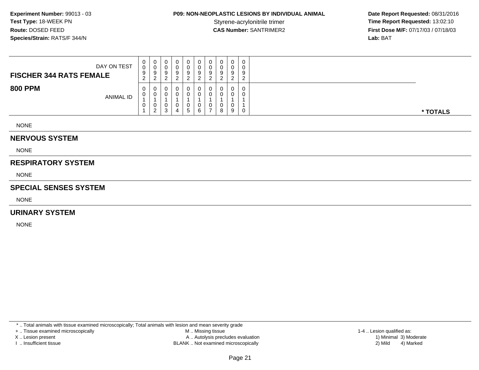## **P09: NON-NEOPLASTIC LESIONS BY INDIVIDUAL ANIMAL**

 **Date Report Requested:** 08/31/2016 Styrene-acrylonitrile trimer<br>
CAS Number: SANTRIMER2<br> **CAS Number:** SANTRIMER2<br> **Time Report Requested:** 13:02:10 **First Dose M/F:** 07/17/03 / 07/18/03<br>**Lab:** BAT **Lab:** BAT

| DAY ON TEST<br><b>FISCHER 344 RATS FEMALE</b> | 0<br>0<br>9<br>ົ<br>$\epsilon$ | U<br>ັບ<br>9<br>ົ<br><u>_</u> | 0<br>0<br>9<br><sup>o</sup> | 0 | 0<br>v<br>a | υ<br>U<br>9 | 9 | ◡<br>v<br>a | 0<br>0<br>9<br>ົ           | $\cap$<br>9    |          |
|-----------------------------------------------|--------------------------------|-------------------------------|-----------------------------|---|-------------|-------------|---|-------------|----------------------------|----------------|----------|
| <b>800 PPM</b><br>ANIMAL ID                   | 0<br>U<br>0                    | U<br>v<br>U<br>ົ<br><u>_</u>  | 0<br>0<br>0<br>$\sim$<br>◡  | 4 | U<br>-<br>5 | 0<br>6      | 0 | 8           | $\mathbf 0$<br>0<br>0<br>9 | $\overline{0}$ | * TOTALS |

NONE

#### **NERVOUS SYSTEM**

NONE

#### **RESPIRATORY SYSTEM**

NONE

#### **SPECIAL SENSES SYSTEM**

NONE

#### **URINARY SYSTEM**

NONE

\* .. Total animals with tissue examined microscopically; Total animals with lesion and mean severity grade

+ .. Tissue examined microscopically

X .. Lesion present

I .. Insufficient tissue

 M .. Missing tissueA .. Autolysis precludes evaluation

BLANK .. Not examined microscopically 2) Mild 4) Marked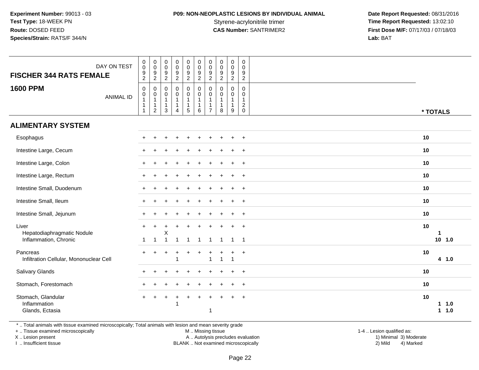## **P09: NON-NEOPLASTIC LESIONS BY INDIVIDUAL ANIMAL**

 **Date Report Requested:** 08/31/2016 Styrene-acrylonitrile trimer<br>
CAS Number: SANTRIMER2<br> **CAS Number:** SANTRIMER2<br> **Time Report Requested:** 13:02:10 **First Dose M/F:** 07/17/03 / 07/18/03<br>Lab: BAT **Lab:** BAT

| DAY ON TEST<br><b>FISCHER 344 RATS FEMALE</b><br><b>1600 PPM</b><br><b>ANIMAL ID</b> | $_{\rm 0}^{\rm 0}$<br>$\frac{9}{2}$<br>$\mathbf 0$<br>$\begin{smallmatrix}0\1\end{smallmatrix}$<br>$\mathbf{1}$<br>$\mathbf 1$ | $\pmb{0}$<br>$\mathsf{O}\xspace$<br>$\frac{9}{2}$<br>$\mathsf{O}\xspace$<br>$\pmb{0}$<br>$\mathbf{1}$<br>$\mathbf{1}$<br>$\overline{2}$ | 0<br>$\mathsf{O}\xspace$<br>$\frac{9}{2}$<br>$\mathbf 0$<br>0<br>$\mathbf{1}$<br>$\mathbf{1}$<br>3 | $_{\rm 0}^{\rm 0}$<br>$\frac{9}{2}$<br>$\pmb{0}$<br>$\pmb{0}$<br>$\mathbf{1}$<br>$\mathbf{1}$<br>$\overline{4}$ | $\pmb{0}$<br>$\mathbf 0$<br>$\frac{9}{2}$<br>$\mathbf 0$<br>$\mathbf 0$<br>$\mathbf{1}$<br>$\mathbf{1}$<br>$\sqrt{5}$ | $\pmb{0}$<br>$\mathbf 0$<br>$\frac{9}{2}$<br>$\pmb{0}$<br>$\mathbf 0$<br>$\mathbf{1}$<br>$\mathbf{1}$<br>6 | $\pmb{0}$<br>$\mathbf 0$<br>$\frac{9}{2}$<br>$\mathbf 0$<br>0<br>$\mathbf{1}$<br>$\mathbf{1}$<br>$\overline{7}$ | $\pmb{0}$<br>$\pmb{0}$<br>$\frac{9}{2}$<br>0<br>0<br>$\mathbf{1}$<br>$\mathbf{1}$<br>8 | $\begin{smallmatrix} 0\\0 \end{smallmatrix}$<br>$\frac{9}{2}$<br>$\pmb{0}$<br>$\pmb{0}$<br>$\mathbf{1}$<br>$\mathbf{1}$<br>9 | 0<br>$\mathbf 0$<br>9<br>$\sqrt{2}$<br>$\mathbf 0$<br>$\mathbf 0$<br>$\mathbf{1}$<br>$\overline{c}$<br>$\mathbf 0$ | * TOTALS                          |
|--------------------------------------------------------------------------------------|--------------------------------------------------------------------------------------------------------------------------------|-----------------------------------------------------------------------------------------------------------------------------------------|----------------------------------------------------------------------------------------------------|-----------------------------------------------------------------------------------------------------------------|-----------------------------------------------------------------------------------------------------------------------|------------------------------------------------------------------------------------------------------------|-----------------------------------------------------------------------------------------------------------------|----------------------------------------------------------------------------------------|------------------------------------------------------------------------------------------------------------------------------|--------------------------------------------------------------------------------------------------------------------|-----------------------------------|
| <b>ALIMENTARY SYSTEM</b>                                                             |                                                                                                                                |                                                                                                                                         |                                                                                                    |                                                                                                                 |                                                                                                                       |                                                                                                            |                                                                                                                 |                                                                                        |                                                                                                                              |                                                                                                                    |                                   |
| Esophagus                                                                            |                                                                                                                                |                                                                                                                                         |                                                                                                    |                                                                                                                 |                                                                                                                       |                                                                                                            |                                                                                                                 |                                                                                        |                                                                                                                              | $\ddot{}$                                                                                                          | 10                                |
| Intestine Large, Cecum                                                               |                                                                                                                                |                                                                                                                                         |                                                                                                    |                                                                                                                 |                                                                                                                       |                                                                                                            |                                                                                                                 |                                                                                        |                                                                                                                              | $\overline{ }$                                                                                                     | 10                                |
| Intestine Large, Colon                                                               |                                                                                                                                |                                                                                                                                         |                                                                                                    |                                                                                                                 |                                                                                                                       |                                                                                                            |                                                                                                                 |                                                                                        |                                                                                                                              | $\overline{+}$                                                                                                     | 10                                |
| Intestine Large, Rectum                                                              |                                                                                                                                |                                                                                                                                         |                                                                                                    |                                                                                                                 |                                                                                                                       |                                                                                                            |                                                                                                                 |                                                                                        |                                                                                                                              | $\ddot{}$                                                                                                          | 10                                |
| Intestine Small, Duodenum                                                            |                                                                                                                                |                                                                                                                                         |                                                                                                    |                                                                                                                 |                                                                                                                       |                                                                                                            |                                                                                                                 |                                                                                        |                                                                                                                              | $\overline{+}$                                                                                                     | 10                                |
| Intestine Small, Ileum                                                               |                                                                                                                                |                                                                                                                                         |                                                                                                    |                                                                                                                 |                                                                                                                       |                                                                                                            |                                                                                                                 |                                                                                        |                                                                                                                              | $\overline{+}$                                                                                                     | 10                                |
| Intestine Small, Jejunum                                                             |                                                                                                                                |                                                                                                                                         |                                                                                                    |                                                                                                                 |                                                                                                                       |                                                                                                            |                                                                                                                 |                                                                                        |                                                                                                                              | $\overline{ }$                                                                                                     | 10                                |
| Liver<br>Hepatodiaphragmatic Nodule                                                  | $\mathbf{1}$                                                                                                                   | $\mathbf{1}$                                                                                                                            | Х<br>$\mathbf{1}$                                                                                  | $\overline{\mathbf{1}}$                                                                                         | $\mathbf{1}$                                                                                                          | $\mathbf{1}$                                                                                               | $\mathbf 1$                                                                                                     |                                                                                        | $\overline{1}$                                                                                                               | $+$<br>$\overline{1}$                                                                                              | 10<br>-1<br>$10$ 1.0              |
| Inflammation, Chronic                                                                |                                                                                                                                |                                                                                                                                         |                                                                                                    |                                                                                                                 |                                                                                                                       |                                                                                                            |                                                                                                                 | $\mathbf{1}$                                                                           |                                                                                                                              |                                                                                                                    |                                   |
| Pancreas<br>Infiltration Cellular, Mononuclear Cell                                  |                                                                                                                                |                                                                                                                                         |                                                                                                    | -1                                                                                                              |                                                                                                                       |                                                                                                            | $\overline{1}$                                                                                                  |                                                                                        | -1                                                                                                                           | $\ddot{}$                                                                                                          | 10<br>4 1.0                       |
| Salivary Glands                                                                      | $+$                                                                                                                            | ÷                                                                                                                                       |                                                                                                    |                                                                                                                 |                                                                                                                       |                                                                                                            |                                                                                                                 |                                                                                        |                                                                                                                              | $\overline{+}$                                                                                                     | 10                                |
| Stomach, Forestomach                                                                 |                                                                                                                                |                                                                                                                                         |                                                                                                    |                                                                                                                 |                                                                                                                       |                                                                                                            |                                                                                                                 |                                                                                        |                                                                                                                              | $\overline{+}$                                                                                                     | 10                                |
| Stomach, Glandular<br>Inflammation<br>Glands, Ectasia                                | $+$                                                                                                                            | $\ddot{}$                                                                                                                               | ÷                                                                                                  | -1                                                                                                              | $\ddot{}$                                                                                                             |                                                                                                            | $\mathbf 1$                                                                                                     |                                                                                        |                                                                                                                              | $\ddot{}$                                                                                                          | 10<br>11.0<br>1.0<br>$\mathbf{1}$ |

\* .. Total animals with tissue examined microscopically; Total animals with lesion and mean severity grade

+ .. Tissue examined microscopically

X .. Lesion present

I .. Insufficient tissue

M .. Missing tissue

1-4 .. Lesion qualified as:<br>1) Minimal 3) Moderate Lesion present A .. Autolysis precludes evaluation 1) Minimal 3) ModerateBLANK .. Not examined microscopically 2) Mild 4) Marked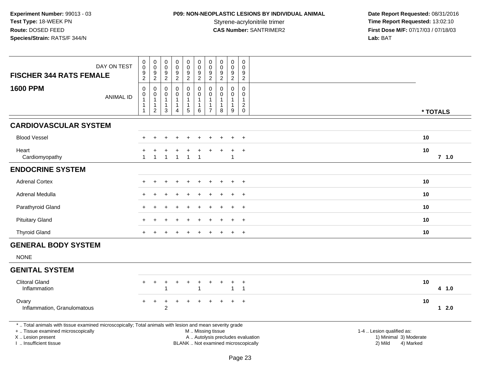# **P09: NON-NEOPLASTIC LESIONS BY INDIVIDUAL ANIMAL**

 **Date Report Requested:** 08/31/2016 Styrene-acrylonitrile trimer<br> **CAS Number:** SANTRIMER2 **Time Report Requested:** 13:02:10<br> **Time Report Requested:** 13:02:10 **First Dose M/F:** 07/17/03 / 07/18/03<br>Lab: BAT **Lab:** BAT

| <b>FISCHER 344 RATS FEMALE</b>                                                                                                                                                                | DAY ON TEST      | $\pmb{0}$<br>$\mathsf{O}\xspace$<br>9<br>$\overline{2}$ | $\pmb{0}$<br>$\mathbf 0$<br>$\boldsymbol{9}$<br>$\overline{2}$ | $\mathsf{O}\xspace$<br>$\mathbf 0$<br>9<br>$\overline{2}$ | $\pmb{0}$<br>$\mathbf 0$<br>$\boldsymbol{9}$<br>$\overline{2}$      | $\pmb{0}$<br>$\pmb{0}$<br>$\boldsymbol{9}$<br>$\overline{2}$ | $\pmb{0}$<br>0<br>$\boldsymbol{9}$<br>$\overline{2}$     | $\pmb{0}$<br>$\mathbf 0$<br>9<br>$\overline{2}$ | $\pmb{0}$<br>0<br>9<br>$\overline{c}$       | $\pmb{0}$<br>$\pmb{0}$<br>$\boldsymbol{9}$<br>$\overline{2}$        | $\pmb{0}$<br>$\mathbf 0$<br>9<br>$\overline{2}$                 |                                                                                                                  |          |         |  |
|-----------------------------------------------------------------------------------------------------------------------------------------------------------------------------------------------|------------------|---------------------------------------------------------|----------------------------------------------------------------|-----------------------------------------------------------|---------------------------------------------------------------------|--------------------------------------------------------------|----------------------------------------------------------|-------------------------------------------------|---------------------------------------------|---------------------------------------------------------------------|-----------------------------------------------------------------|------------------------------------------------------------------------------------------------------------------|----------|---------|--|
| <b>1600 PPM</b>                                                                                                                                                                               | <b>ANIMAL ID</b> | $\pmb{0}$<br>0<br>1<br>1<br>$\overline{1}$              | 0<br>$\pmb{0}$<br>$\mathbf{1}$<br>$\mathbf 1$<br>$\sqrt{2}$    | 0<br>$\mathbf 0$<br>$\overline{1}$<br>-1<br>3             | $\mathbf 0$<br>$\mathbf 0$<br>$\overline{1}$<br>1<br>$\overline{4}$ | $\pmb{0}$<br>$\mathsf 0$<br>$\mathbf{1}$<br>1<br>5           | $\pmb{0}$<br>0<br>$\mathbf{1}$<br>$\mathbf{1}$<br>6      | 0<br>0<br>1<br>$\overline{7}$                   | 0<br>0<br>$\mathbf{1}$<br>$\mathbf{1}$<br>8 | $\mathbf 0$<br>$\mathbf 0$<br>$\mathbf{1}$<br>1<br>$\boldsymbol{9}$ | 0<br>$\mathbf 0$<br>$\overline{1}$<br>$\sqrt{2}$<br>$\mathbf 0$ |                                                                                                                  | * TOTALS |         |  |
| <b>CARDIOVASCULAR SYSTEM</b>                                                                                                                                                                  |                  |                                                         |                                                                |                                                           |                                                                     |                                                              |                                                          |                                                 |                                             |                                                                     |                                                                 |                                                                                                                  |          |         |  |
| <b>Blood Vessel</b>                                                                                                                                                                           |                  |                                                         |                                                                |                                                           |                                                                     |                                                              |                                                          |                                                 |                                             |                                                                     | $\ddot{}$                                                       |                                                                                                                  | 10       |         |  |
| Heart<br>Cardiomyopathy                                                                                                                                                                       |                  |                                                         |                                                                |                                                           | 1                                                                   | $\mathbf{1}$                                                 |                                                          |                                                 |                                             |                                                                     | $\ddot{}$                                                       |                                                                                                                  | 10       | $7$ 1.0 |  |
| <b>ENDOCRINE SYSTEM</b>                                                                                                                                                                       |                  |                                                         |                                                                |                                                           |                                                                     |                                                              |                                                          |                                                 |                                             |                                                                     |                                                                 |                                                                                                                  |          |         |  |
| <b>Adrenal Cortex</b>                                                                                                                                                                         |                  |                                                         |                                                                |                                                           |                                                                     |                                                              |                                                          |                                                 |                                             | $\overline{ }$                                                      | $\overline{+}$                                                  |                                                                                                                  | 10       |         |  |
| Adrenal Medulla                                                                                                                                                                               |                  |                                                         |                                                                |                                                           |                                                                     |                                                              |                                                          |                                                 |                                             |                                                                     | $\overline{+}$                                                  |                                                                                                                  | 10       |         |  |
| Parathyroid Gland                                                                                                                                                                             |                  |                                                         |                                                                |                                                           |                                                                     |                                                              |                                                          |                                                 |                                             |                                                                     | $\ddot{}$                                                       |                                                                                                                  | 10       |         |  |
| <b>Pituitary Gland</b>                                                                                                                                                                        |                  |                                                         |                                                                |                                                           |                                                                     |                                                              |                                                          |                                                 |                                             |                                                                     | $\ddot{}$                                                       |                                                                                                                  | 10       |         |  |
| <b>Thyroid Gland</b>                                                                                                                                                                          |                  | $+$                                                     | $\ddot{}$                                                      |                                                           |                                                                     | $\ddot{}$                                                    | $\ddot{}$                                                | $\ddot{}$                                       | $\ddot{}$                                   | $\overline{+}$                                                      | $+$                                                             |                                                                                                                  | 10       |         |  |
| <b>GENERAL BODY SYSTEM</b>                                                                                                                                                                    |                  |                                                         |                                                                |                                                           |                                                                     |                                                              |                                                          |                                                 |                                             |                                                                     |                                                                 |                                                                                                                  |          |         |  |
| <b>NONE</b>                                                                                                                                                                                   |                  |                                                         |                                                                |                                                           |                                                                     |                                                              |                                                          |                                                 |                                             |                                                                     |                                                                 |                                                                                                                  |          |         |  |
| <b>GENITAL SYSTEM</b>                                                                                                                                                                         |                  |                                                         |                                                                |                                                           |                                                                     |                                                              |                                                          |                                                 |                                             |                                                                     |                                                                 |                                                                                                                  |          |         |  |
| <b>Clitoral Gland</b><br>Inflammation                                                                                                                                                         |                  | $+$                                                     | $\ddot{}$                                                      |                                                           |                                                                     | $\ddot{}$                                                    | -1                                                       |                                                 |                                             | ÷<br>$\overline{1}$                                                 | $\ddot{}$<br>$\overline{1}$                                     |                                                                                                                  | 10       | 4 1.0   |  |
| Ovary<br>Inflammation, Granulomatous                                                                                                                                                          |                  | $+$                                                     | $+$                                                            | $\ddot{}$<br>$\overline{c}$                               |                                                                     | $+$                                                          |                                                          |                                                 |                                             |                                                                     | $+$                                                             |                                                                                                                  | 10       | $1 2.0$ |  |
| *  Total animals with tissue examined microscopically; Total animals with lesion and mean severity grade<br>+  Tissue examined microscopically<br>X  Lesion present<br>I  Insufficient tissue |                  |                                                         |                                                                |                                                           |                                                                     |                                                              | M  Missing tissue<br>BLANK  Not examined microscopically |                                                 |                                             |                                                                     |                                                                 | 1-4  Lesion qualified as:<br>A  Autolysis precludes evaluation<br>1) Minimal 3) Moderate<br>2) Mild<br>4) Marked |          |         |  |

I .. Insufficient tissue

Page 23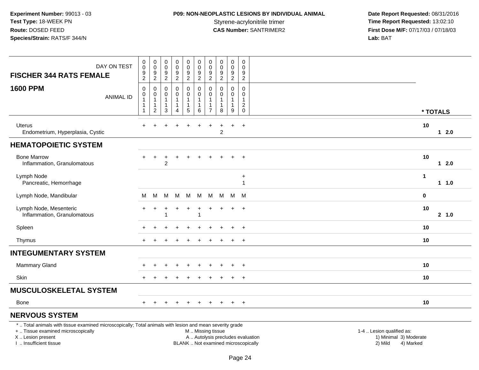# **P09: NON-NEOPLASTIC LESIONS BY INDIVIDUAL ANIMAL**

 **Date Report Requested:** 08/31/2016 Styrene-acrylonitrile trimer<br> **CAS Number:** SANTRIMER2 **Time Report Requested:** 13:02:10<br> **Time Report Requested:** 13:02:10 **First Dose M/F:** 07/17/03 / 07/18/03<br>Lab: BAT **Lab:** BAT

| DAY ON TEST<br><b>FISCHER 344 RATS FEMALE</b>                                                                                                                       | $_{\rm 0}^{\rm 0}$<br>$\frac{9}{2}$                                    | $\pmb{0}$<br>$\ddot{\mathbf{0}}$<br>$\frac{9}{2}$            | $\boldsymbol{0}$<br>$\mathbf 0$<br>$\frac{9}{2}$                   | $\pmb{0}$<br>$\mathbf 0$<br>$\frac{9}{2}$                                    | 0<br>$\ddot{\mathbf{0}}$<br>$\frac{9}{2}$ | $\pmb{0}$<br>$\ddot{\mathbf{0}}$<br>$\frac{9}{2}$               | $\mathbf 0$<br>$\overline{0}$<br>9<br>$\overline{2}$ | $\mathbf 0$<br>$\mathbf 0$<br>$\boldsymbol{9}$<br>$\overline{2}$ | $\mathbf 0$<br>$\overline{0}$<br>$9\,$<br>$\overline{2}$ | 0<br>$\Omega$<br>$\boldsymbol{9}$<br>$\overline{2}$ |                                                     |    |          |
|---------------------------------------------------------------------------------------------------------------------------------------------------------------------|------------------------------------------------------------------------|--------------------------------------------------------------|--------------------------------------------------------------------|------------------------------------------------------------------------------|-------------------------------------------|-----------------------------------------------------------------|------------------------------------------------------|------------------------------------------------------------------|----------------------------------------------------------|-----------------------------------------------------|-----------------------------------------------------|----|----------|
| <b>1600 PPM</b><br><b>ANIMAL ID</b>                                                                                                                                 | $\pmb{0}$<br>$\pmb{0}$<br>$\mathbf{1}$<br>$\mathbf{1}$<br>$\mathbf{1}$ | 0<br>$\pmb{0}$<br>$\mathbf{1}$<br>$\mathbf{1}$<br>$\sqrt{2}$ | $\mathbf 0$<br>0<br>$\overline{\mathbf{1}}$<br>$\overline{1}$<br>3 | $\mathbf 0$<br>$\mathbf 0$<br>$\mathbf{1}$<br>$\mathbf{1}$<br>$\overline{4}$ | 0<br>$\mathbf 0$<br>1<br>5                | $\mathbf 0$<br>$\mathbf 0$<br>$\mathbf{1}$<br>$\mathbf{1}$<br>6 | 0<br>$\Omega$<br>1<br>$\mathbf{1}$<br>$\overline{7}$ | $\Omega$<br>$\Omega$<br>-1<br>8                                  | $\mathbf 0$<br>$\Omega$<br>1<br>$\mathbf{1}$<br>9        | 0<br>$\Omega$<br>1<br>$\overline{2}$<br>0           |                                                     |    | * TOTALS |
| <b>Uterus</b><br>Endometrium, Hyperplasia, Cystic                                                                                                                   | $+$                                                                    | $\ddot{}$                                                    | ÷                                                                  | $\div$                                                                       | $\ddot{}$                                 | $\div$                                                          | $\ddot{}$                                            | $\pm$<br>$\overline{c}$                                          | $+$                                                      | $+$                                                 |                                                     | 10 | $12.0$   |
| <b>HEMATOPOIETIC SYSTEM</b>                                                                                                                                         |                                                                        |                                                              |                                                                    |                                                                              |                                           |                                                                 |                                                      |                                                                  |                                                          |                                                     |                                                     |    |          |
| <b>Bone Marrow</b><br>Inflammation, Granulomatous                                                                                                                   | $+$                                                                    | $\div$                                                       | ÷<br>2                                                             | $\ddot{}$                                                                    | $+$                                       | $+$                                                             | $+$                                                  | $+$                                                              | $+$                                                      | $+$                                                 |                                                     | 10 | $12.0$   |
| Lymph Node<br>Pancreatic, Hemorrhage                                                                                                                                |                                                                        |                                                              |                                                                    |                                                                              |                                           |                                                                 |                                                      |                                                                  |                                                          | $\ddot{}$<br>$\mathbf{1}$                           | $\mathbf{1}$                                        |    | $1 1.0$  |
| Lymph Node, Mandibular                                                                                                                                              | M                                                                      | M                                                            | м                                                                  | м                                                                            | M                                         | M                                                               | M                                                    | M                                                                | M M                                                      |                                                     | $\mathbf 0$                                         |    |          |
| Lymph Node, Mesenteric<br>Inflammation, Granulomatous                                                                                                               | $\ddot{}$                                                              | ÷                                                            |                                                                    |                                                                              | $\ddot{}$                                 |                                                                 | $\ddot{}$                                            |                                                                  | $\ddot{}$                                                | $+$                                                 |                                                     | 10 | 2 1.0    |
| Spleen                                                                                                                                                              |                                                                        |                                                              |                                                                    |                                                                              |                                           |                                                                 |                                                      |                                                                  |                                                          | $+$                                                 |                                                     | 10 |          |
| Thymus                                                                                                                                                              | $+$                                                                    |                                                              |                                                                    |                                                                              |                                           |                                                                 |                                                      |                                                                  | $\div$                                                   | $+$                                                 |                                                     | 10 |          |
| <b>INTEGUMENTARY SYSTEM</b>                                                                                                                                         |                                                                        |                                                              |                                                                    |                                                                              |                                           |                                                                 |                                                      |                                                                  |                                                          |                                                     |                                                     |    |          |
| Mammary Gland                                                                                                                                                       |                                                                        |                                                              |                                                                    |                                                                              |                                           |                                                                 |                                                      |                                                                  |                                                          | $+$                                                 |                                                     | 10 |          |
| Skin                                                                                                                                                                | $+$                                                                    |                                                              |                                                                    |                                                                              |                                           |                                                                 |                                                      |                                                                  |                                                          | $+$                                                 |                                                     | 10 |          |
| <b>MUSCULOSKELETAL SYSTEM</b>                                                                                                                                       |                                                                        |                                                              |                                                                    |                                                                              |                                           |                                                                 |                                                      |                                                                  |                                                          |                                                     |                                                     |    |          |
| <b>Bone</b>                                                                                                                                                         | $+$                                                                    |                                                              |                                                                    |                                                                              |                                           |                                                                 |                                                      |                                                                  |                                                          | $+$                                                 |                                                     | 10 |          |
| <b>NERVOUS SYSTEM</b>                                                                                                                                               |                                                                        |                                                              |                                                                    |                                                                              |                                           |                                                                 |                                                      |                                                                  |                                                          |                                                     |                                                     |    |          |
| *  Total animals with tissue examined microscopically; Total animals with lesion and mean severity grade<br>+  Tissue examined microscopically<br>X  Lesion present |                                                                        |                                                              |                                                                    |                                                                              |                                           | M  Missing tissue<br>A  Autolysis precludes evaluation          |                                                      |                                                                  |                                                          |                                                     | 1-4  Lesion qualified as:<br>1) Minimal 3) Moderate |    |          |

I .. Insufficient tissue

Page 24

BLANK .. Not examined microscopically 2) Mild 4) Marked